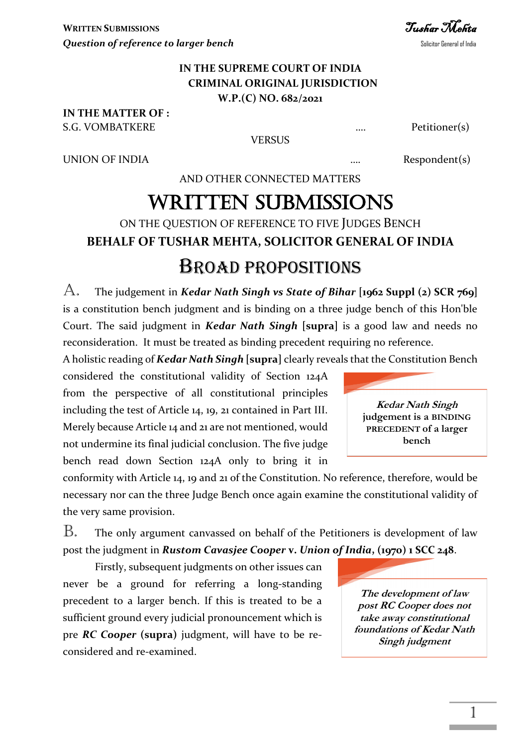# **IN THE SUPREME COURT OF INDIA CRIMINAL ORIGINAL JURISDICTION W.P.(C) NO. 682/2021**

**IN THE MATTER OF :**  S.G. VOMBATKERE 2008. The peritioner of the set of the set of the peritioner of the peritioner of the peritioner of the peritioner of the peritioner of the peritioner of the peritioner of the peritioner of the peritioner o

**VERSUS** 

UNION OF INDIA Example 10 and 200 minutes and 200 minutes and 200 minutes and 200 minutes and 200 minutes and 200 minutes and 200 minutes and 200 minutes and 200 minutes and 200 minutes and 200 minutes and 200 minutes and

AND OTHER CONNECTED MATTERS

# WRITTEN SUBMISSIONS

ON THE QUESTION OF REFERENCE TO FIVE JUDGES BENCH

**BEHALF OF TUSHAR MEHTA, SOLICITOR GENERAL OF INDIA**

# BROAD PROPOSITIONS

A. The judgement in *Kedar Nath Singh vs State of Bihar* **[1962 Suppl (2) SCR 769]**  is a constitution bench judgment and is binding on a three judge bench of this Hon'ble Court. The said judgment in *Kedar Nath Singh* **[supra]** is a good law and needs no reconsideration. It must be treated as binding precedent requiring no reference.

A holistic reading of *Kedar Nath Singh* **[supra]** clearly reveals that the Constitution Bench

considered the constitutional validity of Section 124A from the perspective of all constitutional principles including the test of Article 14, 19, 21 contained in Part III. Merely because Article 14 and 21 are not mentioned, would not undermine its final judicial conclusion. The five judge bench read down Section 124A only to bring it in

conformity with Article 14, 19 and 21 of the Constitution. No reference, therefore, would be necessary nor can the three Judge Bench once again examine the constitutional validity of the very same provision.

B. The only argument canvassed on behalf of the Petitioners is development of law post the judgment in *Rustom Cavasjee Cooper* **v.** *Union of India***, (1970) 1 SCC 248**.

Firstly, subsequent judgments on other issues can never be a ground for referring a long-standing precedent to a larger bench. If this is treated to be a sufficient ground every judicial pronouncement which is pre *RC Cooper* **(supra)** judgment, will have to be reconsidered and re-examined.

**The development of law post RC Cooper does not take away constitutional foundations of Kedar Nath Singh judgment** 

1

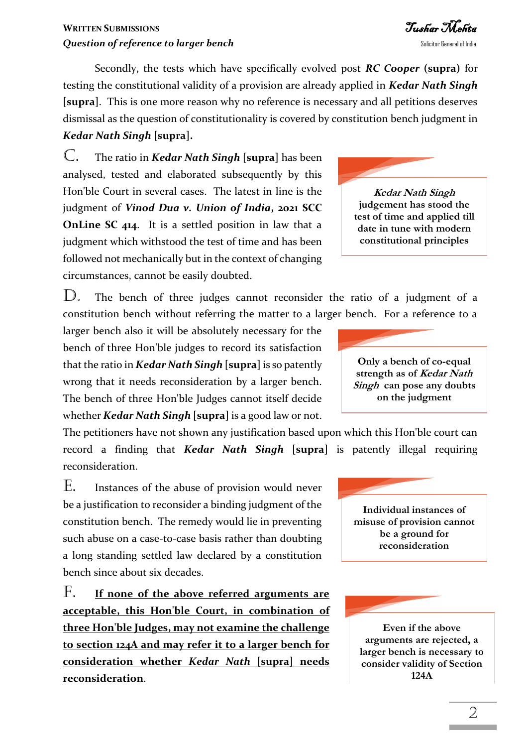Secondly, the tests which have specifically evolved post *RC Cooper* **(supra)** for testing the constitutional validity of a provision are already applied in *Kedar Nath Singh* **[supra]**. This is one more reason why no reference is necessary and all petitions deserves dismissal as the question of constitutionality is covered by constitution bench judgment in *Kedar Nath Singh* **[supra].**

C. The ratio in *Kedar Nath Singh* **[supra]** has been analysed, tested and elaborated subsequently by this Hon'ble Court in several cases. The latest in line is the judgment of *Vinod Dua v. Union of India***, 2021 SCC OnLine SC 414**. It is a settled position in law that a judgment which withstood the test of time and has been followed not mechanically but in the context of changing circumstances, cannot be easily doubted.

D. The bench of three judges cannot reconsider the ratio of a judgment of a constitution bench without referring the matter to a larger bench. For a reference to a

larger bench also it will be absolutely necessary for the bench of three Hon'ble judges to record its satisfaction that the ratio in *Kedar Nath Singh* **[supra]** is so patently wrong that it needs reconsideration by a larger bench. The bench of three Hon'ble Judges cannot itself decide whether *Kedar Nath Singh* **[supra]** is a good law or not.

The petitioners have not shown any justification based upon which this Hon'ble court can record a finding that *Kedar Nath Singh* **[supra]** is patently illegal requiring reconsideration.

 $E.$  Instances of the abuse of provision would never be a justification to reconsider a binding judgment of the constitution bench. The remedy would lie in preventing such abuse on a case-to-case basis rather than doubting a long standing settled law declared by a constitution bench since about six decades.

F. **If none of the above referred arguments are acceptable, this Hon'ble Court, in combination of three Hon'ble Judges, may not examine the challenge to section 124A and may refer it to a larger bench for consideration whether** *Kedar Nath* **[supra] needs reconsideration**.

**Kedar Nath Singh judgement has stood the test of time and applied till date in tune with modern constitutional principles**





**misuse of provision cannot be a ground for reconsideration**

**Even if the above arguments are rejected, a larger bench is necessary to consider validity of Section 124A**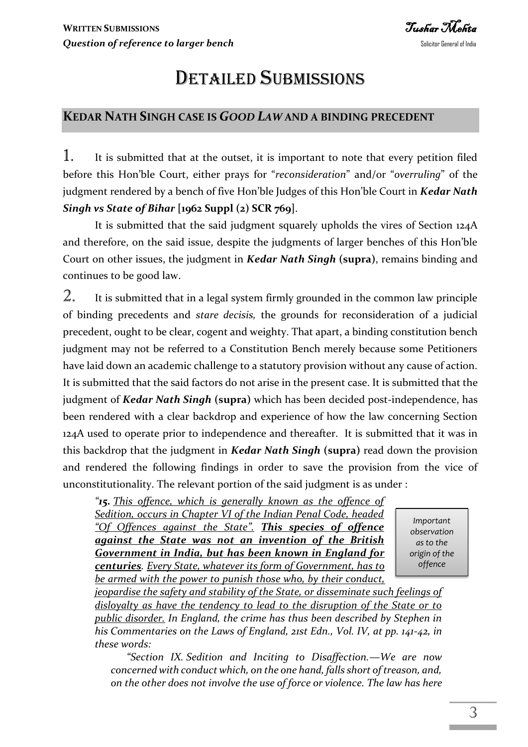# DETAILED SUBMISSIONS

## **KEDAR NATH SINGH CASE IS** *GOOD LAW* **AND A BINDING PRECEDENT**

1. It is submitted that at the outset, it is important to note that every petition filed before this Hon'ble Court, either prays for "*reconsideration*" and/or "*overruling*" of the judgment rendered by a bench of five Hon'ble Judges of this Hon'ble Court in *Kedar Nath Singh vs State of Bihar* **[1962 Suppl (2) SCR 769]**.

It is submitted that the said judgment squarely upholds the vires of Section 124A and therefore, on the said issue, despite the judgments of larger benches of this Hon'ble Court on other issues, the judgment in *Kedar Nath Singh* **(supra)**, remains binding and continues to be good law.

 $2.$  It is submitted that in a legal system firmly grounded in the common law principle of binding precedents and *stare decisis,* the grounds for reconsideration of a judicial precedent, ought to be clear, cogent and weighty. That apart, a binding constitution bench judgment may not be referred to a Constitution Bench merely because some Petitioners have laid down an academic challenge to a statutory provision without any cause of action. It is submitted that the said factors do not arise in the present case. It is submitted that the judgment of *Kedar Nath Singh* **(supra)** which has been decided post-independence, has been rendered with a clear backdrop and experience of how the law concerning Section 124A used to operate prior to independence and thereafter. It is submitted that it was in this backdrop that the judgment in *Kedar Nath Singh* **(supra)** read down the provision and rendered the following findings in order to save the provision from the vice of unconstitutionality. The relevant portion of the said judgment is as under :

*"15. This offence, which is generally known as the offence of Sedition, occurs in Chapter VI of the Indian Penal Code, headed "Of Offences against the State". This species of offence against the State was not an invention of the British Government in India, but has been known in England for centuries. Every State, whatever its form of Government, has to be armed with the power to punish those who, by their conduct,* 

*Important observation as to the origin of the offence*

*jeopardise the safety and stability of the State, or disseminate such feelings of disloyalty as have the tendency to lead to the disruption of the State or to public disorder. In England, the crime has thus been described by Stephen in his Commentaries on the Laws of England, 21st Edn., Vol. IV, at pp. 141-42, in these words:*

*"Section IX. Sedition and Inciting to Disaffection.—We are now concerned with conduct which, on the one hand, falls short of treason, and, on the other does not involve the use of force or violence. The law has here*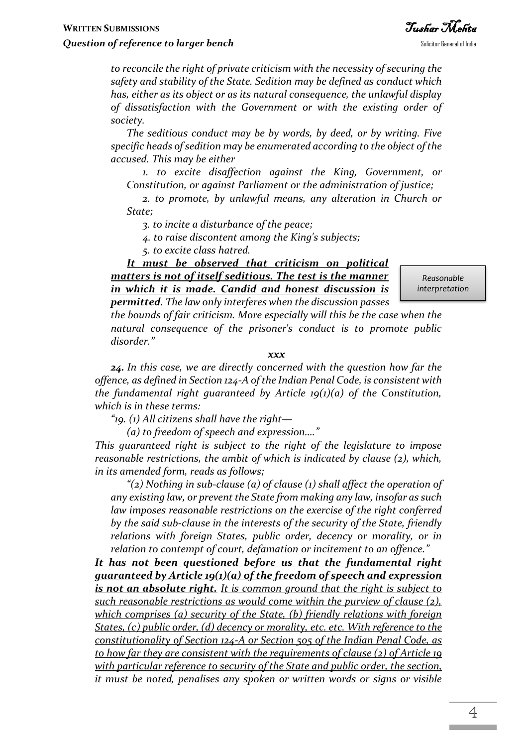*to reconcile the right of private criticism with the necessity of securing the safety and stability of the State. Sedition may be defined as conduct which has, either as its object or as its natural consequence, the unlawful display of dissatisfaction with the Government or with the existing order of society.*

*The seditious conduct may be by words, by deed, or by writing. Five specific heads of sedition may be enumerated according to the object of the accused. This may be either*

*1. to excite disaffection against the King, Government, or Constitution, or against Parliament or the administration of justice;*

*2. to promote, by unlawful means, any alteration in Church or State;*

*3. to incite a disturbance of the peace;*

*4. to raise discontent among the King's subjects;*

*5. to excite class hatred.*

*It must be observed that criticism on political matters is not of itself seditious. The test is the manner in which it is made. Candid and honest discussion is permitted. The law only interferes when the discussion passes* 

*Reasonable interpretation*

*the bounds of fair criticism. More especially will this be the case when the natural consequence of the prisoner's conduct is to promote public disorder."*

#### *xxx*

*24. In this case, we are directly concerned with the question how far the offence, as defined in Section 124-A of the Indian Penal Code, is consistent with the fundamental right guaranteed by Article 19(1)(a) of the Constitution, which is in these terms:*

*"19. (1) All citizens shall have the right—*

*(a) to freedom of speech and expression…."*

*This guaranteed right is subject to the right of the legislature to impose reasonable restrictions, the ambit of which is indicated by clause (2), which, in its amended form, reads as follows;*

*"(2) Nothing in sub-clause (a) of clause (1) shall affect the operation of any existing law, or prevent the State from making any law, insofar as such*  law imposes reasonable restrictions on the exercise of the right conferred *by the said sub-clause in the interests of the security of the State, friendly*  relations with foreign States, public order, decency or morality, or in *relation to contempt of court, defamation or incitement to an offence."*

*It has not been questioned before us that the fundamental right guaranteed by Article 19(1)(a) of the freedom of speech and expression is not an absolute right. It is common ground that the right is subject to such reasonable restrictions as would come within the purview of clause (2), which comprises (a) security of the State, (b) friendly relations with foreign States, (c) public order, (d) decency or morality, etc. etc. With reference to the constitutionality of Section 124-A or Section 505 of the Indian Penal Code, as to how far they are consistent with the requirements of clause (2) of Article 19 with particular reference to security of the State and public order, the section, it must be noted, penalises any spoken or written words or signs or visible*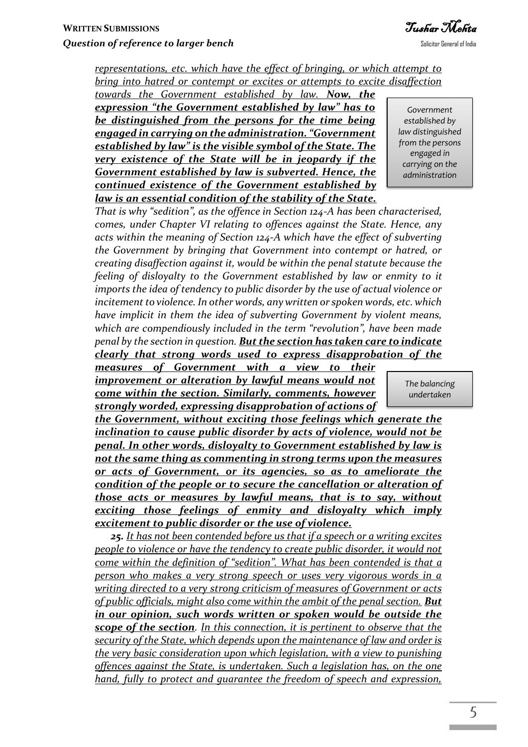*representations, etc. which have the effect of bringing, or which attempt to bring into hatred or contempt or excites or attempts to excite disaffection* 

*towards the Government established by law. Now, the expression "the Government established by law" has to be distinguished from the persons for the time being engaged in carrying on the administration. "Government established by law" is the visible symbol of the State. The very existence of the State will be in jeopardy if the Government established by law is subverted. Hence, the continued existence of the Government established by law is an essential condition of the stability of the State.*

*Government established by law distinguished from the persons engaged in carrying on the administration*

*That is why "sedition", as the offence in Section 124-A has been characterised, comes, under Chapter VI relating to offences against the State. Hence, any acts within the meaning of Section 124-A which have the effect of subverting the Government by bringing that Government into contempt or hatred, or creating disaffection against it, would be within the penal statute because the feeling of disloyalty to the Government established by law or enmity to it imports the idea of tendency to public disorder by the use of actual violence or incitement to violence. In other words, any written or spoken words, etc. which have implicit in them the idea of subverting Government by violent means, which are compendiously included in the term "revolution", have been made penal by the section in question. But the section has taken care to indicate clearly that strong words used to express disapprobation of the* 

*measures of Government with a view to their improvement or alteration by lawful means would not come within the section. Similarly, comments, however strongly worded, expressing disapprobation of actions of* 

*The balancing undertaken* 

*the Government, without exciting those feelings which generate the inclination to cause public disorder by acts of violence, would not be penal. In other words, disloyalty to Government established by law is not the same thing as commenting in strong terms upon the measures or acts of Government, or its agencies, so as to ameliorate the condition of the people or to secure the cancellation or alteration of those acts or measures by lawful means, that is to say, without exciting those feelings of enmity and disloyalty which imply excitement to public disorder or the use of violence.*

*25. It has not been contended before us that if a speech or a writing excites people to violence or have the tendency to create public disorder, it would not come within the definition of "sedition". What has been contended is that a person who makes a very strong speech or uses very vigorous words in a writing directed to a very strong criticism of measures of Government or acts of public officials, might also come within the ambit of the penal section. But in our opinion, such words written or spoken would be outside the scope of the section. In this connection, it is pertinent to observe that the security of the State, which depends upon the maintenance of law and order is the very basic consideration upon which legislation, with a view to punishing offences against the State, is undertaken. Such a legislation has, on the one hand, fully to protect and guarantee the freedom of speech and expression,*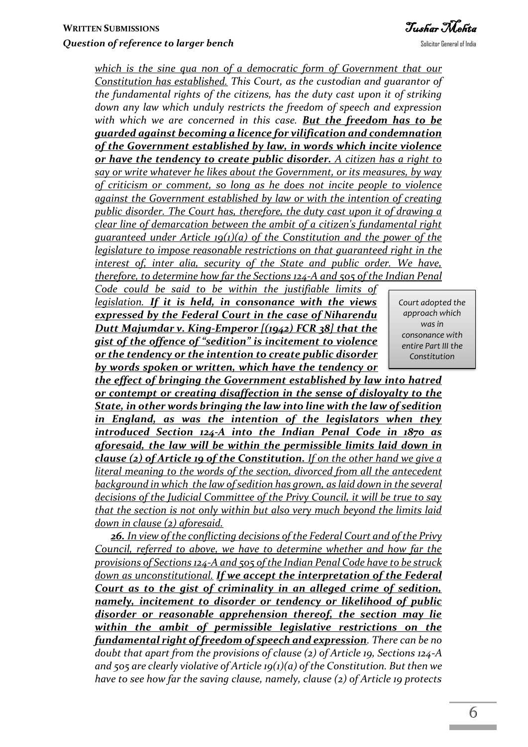# **<sup>W</sup>RITTEN SUBMISSIONS** Tushar Mehta *Question of reference to larger bench* **Solicitor General of India**

*which is the sine qua non of a democratic form of Government that our Constitution has established. This Court, as the custodian and guarantor of the fundamental rights of the citizens, has the duty cast upon it of striking down any law which unduly restricts the freedom of speech and expression with which we are concerned in this case. But the freedom has to be guarded against becoming a licence for vilification and condemnation of the Government established by law, in words which incite violence or have the tendency to create public disorder. A citizen has a right to say or write whatever he likes about the Government, or its measures, by way of criticism or comment, so long as he does not incite people to violence against the Government established by law or with the intention of creating public disorder. The Court has, therefore, the duty cast upon it of drawing a clear line of demarcation between the ambit of a citizen's fundamental right guaranteed under Article 19(1)(a) of the Constitution and the power of the legislature to impose reasonable restrictions on that guaranteed right in the interest of, inter alia, security of the State and public order. We have, therefore, to determine how far the Sections 124-A and 505 of the Indian Penal* 

*Code could be said to be within the justifiable limits of legislation. If it is held, in consonance with the views expressed by the Federal Court in the case of Niharendu Dutt Majumdar v. King-Emperor [(1942) FCR 38] that the gist of the offence of "sedition" is incitement to violence or the tendency or the intention to create public disorder by words spoken or written, which have the tendency or* 

*Court adopted the approach which was in consonance with entire Part III the Constitution* 

*the effect of bringing the Government established by law into hatred or contempt or creating disaffection in the sense of disloyalty to the State, in other words bringing the law into line with the law of sedition in England, as was the intention of the legislators when they introduced Section 124-A into the Indian Penal Code in 1870 as aforesaid, the law will be within the permissible limits laid down in clause (2) of Article 19 of the Constitution. If on the other hand we give a literal meaning to the words of the section, divorced from all the antecedent background in which the law of sedition has grown, as laid down in the several decisions of the Judicial Committee of the Privy Council, it will be true to say that the section is not only within but also very much beyond the limits laid down in clause (2) aforesaid.*

*26. In view of the conflicting decisions of the Federal Court and of the Privy Council, referred to above, we have to determine whether and how far the provisions of Sections 124-A and 505 of the Indian Penal Code have to be struck down as unconstitutional. If we accept the interpretation of the Federal Court as to the gist of criminality in an alleged crime of sedition, namely, incitement to disorder or tendency or likelihood of public disorder or reasonable apprehension thereof, the section may lie within the ambit of permissible legislative restrictions on the fundamental right of freedom of speech and expression. There can be no doubt that apart from the provisions of clause (2) of Article 19, Sections 124-A and 505 are clearly violative of Article 19(1)(a) of the Constitution. But then we have to see how far the saving clause, namely, clause (2) of Article 19 protects*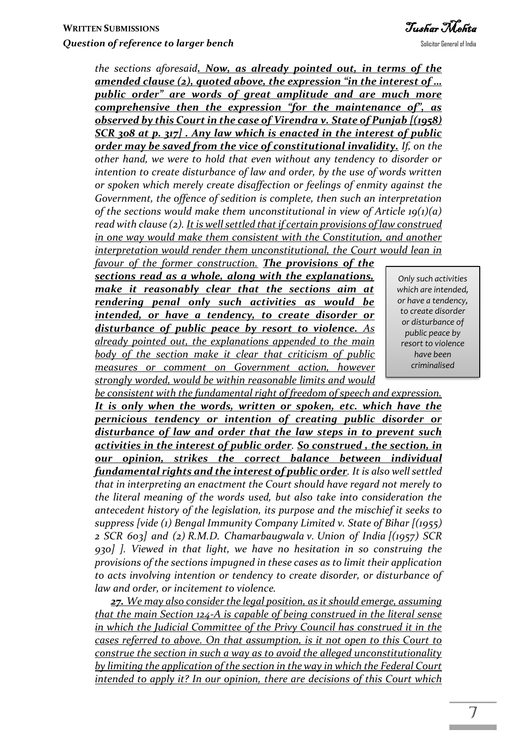# **<sup>W</sup>RITTEN SUBMISSIONS** Tushar Mehta *Question of reference to larger bench* **Solicitor General of India**

*the sections aforesaid. Now, as already pointed out, in terms of the amended clause (2), quoted above, the expression "in the interest of … public order" are words of great amplitude and are much more comprehensive then the expression "for the maintenance of", as observed by this Court in the case of Virendra v. State of Punjab [(1958) SCR 308 at p. 317] . Any law which is enacted in the interest of public order may be saved from the vice of constitutional invalidity. If, on the other hand, we were to hold that even without any tendency to disorder or intention to create disturbance of law and order, by the use of words written or spoken which merely create disaffection or feelings of enmity against the Government, the offence of sedition is complete, then such an interpretation of the sections would make them unconstitutional in view of Article 19(1)(a) read with clause (2). It is well settled that if certain provisions of law construed in one way would make them consistent with the Constitution, and another interpretation would render them unconstitutional, the Court would lean in* 

*favour of the former construction. The provisions of the sections read as a whole, along with the explanations, make it reasonably clear that the sections aim at rendering penal only such activities as would be intended, or have a tendency, to create disorder or disturbance of public peace by resort to violence. As already pointed out, the explanations appended to the main body of the section make it clear that criticism of public measures or comment on Government action, however strongly worded, would be within reasonable limits and would* 

*Only such activities which are intended, or have a tendency, to create disorder or disturbance of public peace by resort to violence have been criminalised*

*be consistent with the fundamental right of freedom of speech and expression. It is only when the words, written or spoken, etc. which have the pernicious tendency or intention of creating public disorder or disturbance of law and order that the law steps in to prevent such activities in the interest of public order. So construed , the section, in our opinion, strikes the correct balance between individual fundamental rights and the interest of public order. It is also well settled that in interpreting an enactment the Court should have regard not merely to the literal meaning of the words used, but also take into consideration the antecedent history of the legislation, its purpose and the mischief it seeks to suppress [vide (1) Bengal Immunity Company Limited v. State of Bihar [(1955) 2 SCR 603] and (2) R.M.D. Chamarbaugwala v. Union of India [(1957) SCR 930] ]. Viewed in that light, we have no hesitation in so construing the provisions of the sections impugned in these cases as to limit their application to acts involving intention or tendency to create disorder, or disturbance of law and order, or incitement to violence.*

*27. We may also consider the legal position, as it should emerge, assuming that the main Section 124-A is capable of being construed in the literal sense in which the Judicial Committee of the Privy Council has construed it in the cases referred to above. On that assumption, is it not open to this Court to construe the section in such a way as to avoid the alleged unconstitutionality by limiting the application of the section in the way in which the Federal Court intended to apply it? In our opinion, there are decisions of this Court which*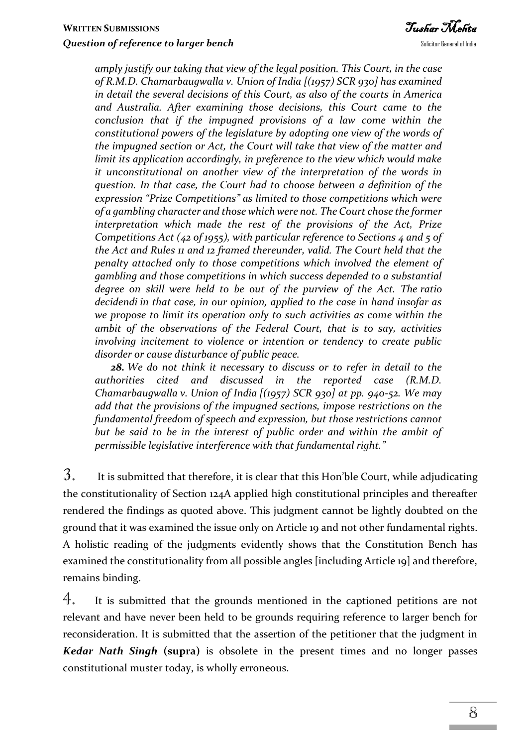*amply justify our taking that view of the legal position. This Court, in the case of R.M.D. Chamarbaugwalla v. Union of India [(1957) SCR 930] has examined in detail the several decisions of this Court, as also of the courts in America and Australia. After examining those decisions, this Court came to the conclusion that if the impugned provisions of a law come within the constitutional powers of the legislature by adopting one view of the words of the impugned section or Act, the Court will take that view of the matter and limit its application accordingly, in preference to the view which would make it unconstitutional on another view of the interpretation of the words in question. In that case, the Court had to choose between a definition of the expression "Prize Competitions" as limited to those competitions which were of a gambling character and those which were not. The Court chose the former interpretation which made the rest of the provisions of the Act, Prize Competitions Act (42 of 1955), with particular reference to Sections 4 and 5 of the Act and Rules 11 and 12 framed thereunder, valid. The Court held that the penalty attached only to those competitions which involved the element of gambling and those competitions in which success depended to a substantial degree on skill were held to be out of the purview of the Act. The ratio decidendi in that case, in our opinion, applied to the case in hand insofar as we propose to limit its operation only to such activities as come within the ambit of the observations of the Federal Court, that is to say, activities involving incitement to violence or intention or tendency to create public disorder or cause disturbance of public peace.*

*28. We do not think it necessary to discuss or to refer in detail to the authorities cited and discussed in the reported case (R.M.D. Chamarbaugwalla v. Union of India [(1957) SCR 930] at pp. 940-52. We may add that the provisions of the impugned sections, impose restrictions on the fundamental freedom of speech and expression, but those restrictions cannot but be said to be in the interest of public order and within the ambit of permissible legislative interference with that fundamental right."*

3. It is submitted that therefore, it is clear that this Hon'ble Court, while adjudicating the constitutionality of Section 124A applied high constitutional principles and thereafter rendered the findings as quoted above. This judgment cannot be lightly doubted on the ground that it was examined the issue only on Article 19 and not other fundamental rights. A holistic reading of the judgments evidently shows that the Constitution Bench has examined the constitutionality from all possible angles [including Article 19] and therefore, remains binding.

4. It is submitted that the grounds mentioned in the captioned petitions are not relevant and have never been held to be grounds requiring reference to larger bench for reconsideration. It is submitted that the assertion of the petitioner that the judgment in *Kedar Nath Singh* **(supra)** is obsolete in the present times and no longer passes constitutional muster today, is wholly erroneous.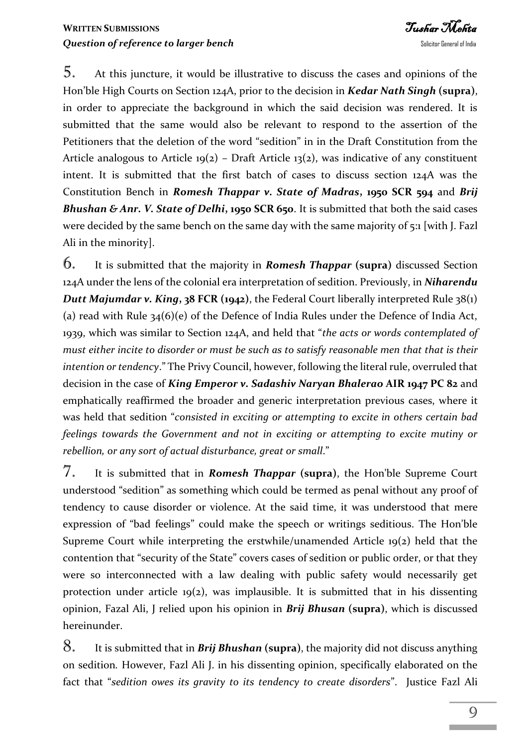5. At this juncture, it would be illustrative to discuss the cases and opinions of the Hon'ble High Courts on Section 124A, prior to the decision in *Kedar Nath Singh* **(supra)**, in order to appreciate the background in which the said decision was rendered. It is submitted that the same would also be relevant to respond to the assertion of the Petitioners that the deletion of the word "sedition" in in the Draft Constitution from the Article analogous to Article  $19(2)$  – Draft Article 13(2), was indicative of any constituent intent. It is submitted that the first batch of cases to discuss section 124A was the Constitution Bench in *Romesh Thappar v. State of Madras***, 1950 SCR 594** and *Brij Bhushan & Anr. V. State of Delhi***, 1950 SCR 650**. It is submitted that both the said cases were decided by the same bench on the same day with the same majority of 5:1 [with J. Fazl Ali in the minority].

6. It is submitted that the majority in *Romesh Thappar* **(supra)** discussed Section 124A under the lens of the colonial era interpretation of sedition. Previously, in *Niharendu Dutt Majumdar v. King***, 38 FCR (1942)**, the Federal Court liberally interpreted Rule 38(1) (a) read with Rule 34(6)(e) of the Defence of India Rules under the Defence of India Act, 1939, which was similar to Section 124A, and held that "*the acts or words contemplated of must either incite to disorder or must be such as to satisfy reasonable men that that is their intention or tendency*." The Privy Council, however, following the literal rule, overruled that decision in the case of *King Emperor v. Sadashiv Naryan Bhalerao* **AIR 1947 PC 82** and emphatically reaffirmed the broader and generic interpretation previous cases, where it was held that sedition "*consisted in exciting or attempting to excite in others certain bad feelings towards the Government and not in exciting or attempting to excite mutiny or rebellion, or any sort of actual disturbance, great or small*."

7. It is submitted that in *Romesh Thappar* **(supra)**, the Hon'ble Supreme Court understood "sedition" as something which could be termed as penal without any proof of tendency to cause disorder or violence. At the said time, it was understood that mere expression of "bad feelings" could make the speech or writings seditious. The Hon'ble Supreme Court while interpreting the erstwhile/unamended Article 19(2) held that the contention that "security of the State" covers cases of sedition or public order, or that they were so interconnected with a law dealing with public safety would necessarily get protection under article  $19(2)$ , was implausible. It is submitted that in his dissenting opinion, Fazal Ali, J relied upon his opinion in *Brij Bhusan* **(supra)**, which is discussed hereinunder.

8. It is submitted that in *Brij Bhushan* **(supra)**, the majority did not discuss anything on sedition*.* However, Fazl Ali J. in his dissenting opinion, specifically elaborated on the fact that "*sedition owes its gravity to its tendency to create disorders*". Justice Fazl Ali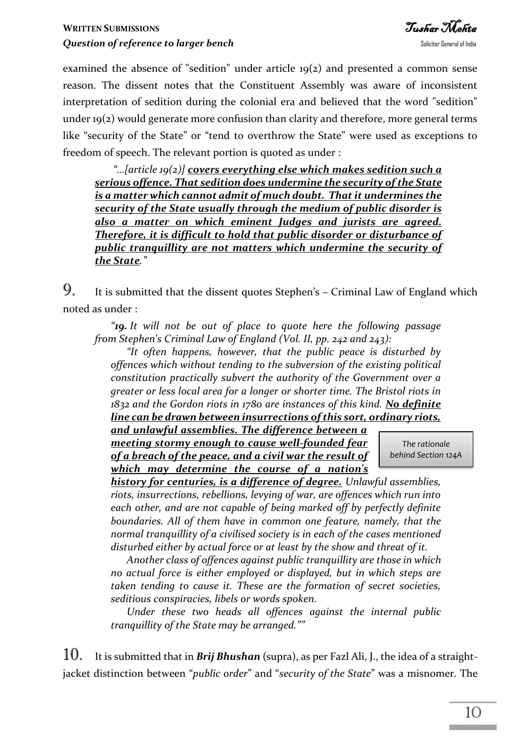examined the absence of "sedition" under article 19(2) and presented a common sense reason. The dissent notes that the Constituent Assembly was aware of inconsistent interpretation of sedition during the colonial era and believed that the word "sedition" under 19(2) would generate more confusion than clarity and therefore, more general terms like "security of the State" or "tend to overthrow the State" were used as exceptions to freedom of speech. The relevant portion is quoted as under :

*"…[article 19(2)] covers everything else which makes sedition such a serious offence. That sedition does undermine the security of the State is a matter which cannot admit of much doubt. That it undermines the security of the State usually through the medium of public disorder is also a matter on which eminent Judges and jurists are agreed. Therefore, it is difficult to hold that public disorder or disturbance of public tranquillity are not matters which undermine the security of the State."*

9. It is submitted that the dissent quotes Stephen's – Criminal Law of England which noted as under :

*"19. It will not be out of place to quote here the following passage from Stephen's Criminal Law of England (Vol. II, pp. 242 and 243):*

*"It often happens, however, that the public peace is disturbed by offences which without tending to the subversion of the existing political constitution practically subvert the authority of the Government over a greater or less local area for a longer or shorter time. The Bristol riots in 1832 and the Gordon riots in 1780 are instances of this kind. No definite line can be drawn between insurrections of this sort, ordinary riots,* 

*and unlawful assemblies. The difference between a meeting stormy enough to cause well-founded fear of a breach of the peace, and a civil war the result of which may determine the course of a nation's* 

*The rationale behind Section 124A*

*history for centuries, is a difference of degree. Unlawful assemblies, riots, insurrections, rebellions, levying of war, are offences which run into each other, and are not capable of being marked off by perfectly definite boundaries. All of them have in common one feature, namely, that the normal tranquillity of a civilised society is in each of the cases mentioned disturbed either by actual force or at least by the show and threat of it.*

*Another class of offences against public tranquillity are those in which no actual force is either employed or displayed, but in which steps are taken tending to cause it. These are the formation of secret societies, seditious conspiracies, libels or words spoken.*

*Under these two heads all offences against the internal public tranquillity of the State may be arranged.""*

10. It is submitted that in *Brij Bhushan* (supra), as per Fazl Ali, J., the idea of a straightjacket distinction between "*public order*" and "*security of the State*" was a misnomer. The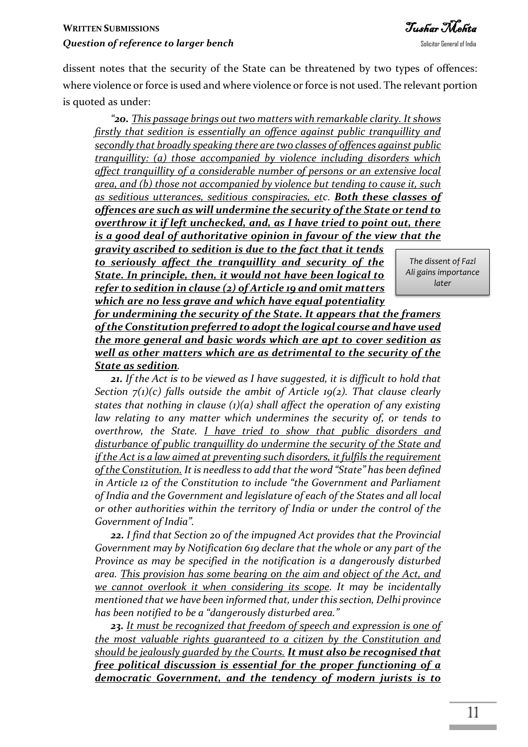dissent notes that the security of the State can be threatened by two types of offences: where violence or force is used and where violence or force is not used. The relevant portion is quoted as under:

*"20. This passage brings out two matters with remarkable clarity. It shows firstly that sedition is essentially an offence against public tranquillity and secondly that broadly speaking there are two classes of offences against public tranquillity: (a) those accompanied by violence including disorders which affect tranquillity of a considerable number of persons or an extensive local area, and (b) those not accompanied by violence but tending to cause it, such as seditious utterances, seditious conspiracies, etc. Both these classes of offences are such as will undermine the security of the State or tend to overthrow it if left unchecked, and, as I have tried to point out, there is a good deal of authoritative opinion in favour of the view that the* 

*gravity ascribed to sedition is due to the fact that it tends to seriously affect the tranquillity and security of the State. In principle, then, it would not have been logical to refer to sedition in clause (2) of Article 19 and omit matters which are no less grave and which have equal potentiality* 

*The dissent of Fazl Ali gains importance later*

*for undermining the security of the State. It appears that the framers of the Constitution preferred to adopt the logical course and have used the more general and basic words which are apt to cover sedition as well as other matters which are as detrimental to the security of the State as sedition.*

*21. If the Act is to be viewed as I have suggested, it is difficult to hold that Section 7(1)(c) falls outside the ambit of Article 19(2). That clause clearly states that nothing in clause (1)(a) shall affect the operation of any existing law relating to any matter which undermines the security of, or tends to overthrow, the State. I have tried to show that public disorders and disturbance of public tranquillity do undermine the security of the State and if the Act is a law aimed at preventing such disorders, it fulfils the requirement of the Constitution. It is needless to add that the word "State" has been defined in Article 12 of the Constitution to include "the Government and Parliament of India and the Government and legislature of each of the States and all local or other authorities within the territory of India or under the control of the Government of India".*

*22. I find that Section 20 of the impugned Act provides that the Provincial Government may by Notification 619 declare that the whole or any part of the Province as may be specified in the notification is a dangerously disturbed area. This provision has some bearing on the aim and object of the Act, and we cannot overlook it when considering its scope. It may be incidentally mentioned that we have been informed that, under this section, Delhi province has been notified to be a "dangerously disturbed area."*

*23. It must be recognized that freedom of speech and expression is one of the most valuable rights guaranteed to a citizen by the Constitution and should be jealously guarded by the Courts. It must also be recognised that free political discussion is essential for the proper functioning of a democratic Government, and the tendency of modern jurists is to*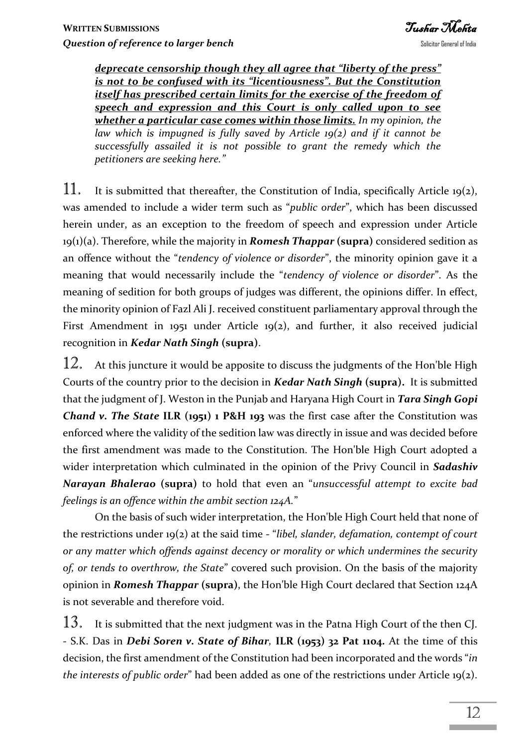*deprecate censorship though they all agree that "liberty of the press" is not to be confused with its "licentiousness". But the Constitution itself has prescribed certain limits for the exercise of the freedom of speech and expression and this Court is only called upon to see whether a particular case comes within those limits. In my opinion, the law which is impugned is fully saved by Article 19(2) and if it cannot be successfully assailed it is not possible to grant the remedy which the petitioners are seeking here."*

11. It is submitted that thereafter, the Constitution of India, specifically Article 19(2), was amended to include a wider term such as "*public order*", which has been discussed herein under, as an exception to the freedom of speech and expression under Article 19(1)(a). Therefore, while the majority in *Romesh Thappar* **(supra)** considered sedition as an offence without the "*tendency of violence or disorder*", the minority opinion gave it a meaning that would necessarily include the "*tendency of violence or disorder*". As the meaning of sedition for both groups of judges was different, the opinions differ. In effect, the minority opinion of Fazl Ali J. received constituent parliamentary approval through the First Amendment in 1951 under Article 19(2), and further, it also received judicial recognition in *Kedar Nath Singh* **(supra)**.

 $12.$  At this juncture it would be apposite to discuss the judgments of the Hon'ble High Courts of the country prior to the decision in *Kedar Nath Singh* **(supra).** It is submitted that the judgment of J. Weston in the Punjab and Haryana High Court in *Tara Singh Gopi Chand v. The State* **ILR (1951) 1 P&H 193** was the first case after the Constitution was enforced where the validity of the sedition law was directly in issue and was decided before the first amendment was made to the Constitution. The Hon'ble High Court adopted a wider interpretation which culminated in the opinion of the Privy Council in *Sadashiv Narayan Bhalerao* **(supra)** to hold that even an "*unsuccessful attempt to excite bad feelings is an offence within the ambit section 124A.*"

On the basis of such wider interpretation, the Hon'ble High Court held that none of the restrictions under 19(2) at the said time - "*libel, slander, defamation, contempt of court or any matter which offends against decency or morality or which undermines the security of, or tends to overthrow, the State*" covered such provision. On the basis of the majority opinion in *Romesh Thappar* **(supra)**, the Hon'ble High Court declared that Section 124A is not severable and therefore void.

 $13.$  It is submitted that the next judgment was in the Patna High Court of the then CJ. - S.K. Das in *Debi Soren v. State of Bihar,* **ILR (1953) 32 Pat 1104.** At the time of this decision, the first amendment of the Constitution had been incorporated and the words "*in the interests of public order*" had been added as one of the restrictions under Article 19(2).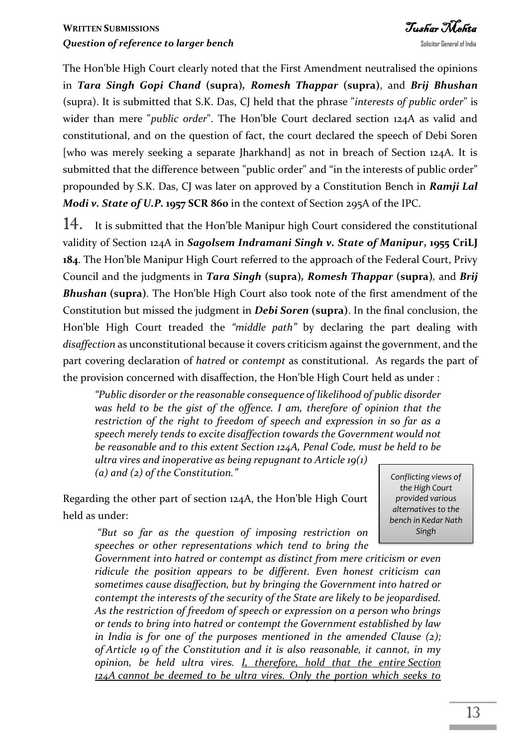The Hon'ble High Court clearly noted that the First Amendment neutralised the opinions in *Tara Singh Gopi Chand* **(supra)***, Romesh Thappar* **(supra)**, and *Brij Bhushan*  (supra). It is submitted that S.K. Das, CJ held that the phrase "*interests of public order*" is wider than mere "*public order*". The Hon'ble Court declared section 124A as valid and constitutional, and on the question of fact, the court declared the speech of Debi Soren [who was merely seeking a separate Jharkhand] as not in breach of Section 124A. It is submitted that the difference between "public order" and "in the interests of public order" propounded by S.K. Das, CJ was later on approved by a Constitution Bench in *Ramji Lal Modi v. State of U.P.* **1957 SCR 860** in the context of Section 295A of the IPC.

 $14.$  It is submitted that the Hon'ble Manipur high Court considered the constitutional validity of Section 124A in *Sagolsem Indramani Singh v. State of Manipur***, 1955 CriLJ 184**. The Hon'ble Manipur High Court referred to the approach of the Federal Court, Privy Council and the judgments in *Tara Singh* **(supra)***, Romesh Thappar* **(supra)***,* and *Brij Bhushan* **(supra)***.* The Hon'ble High Court also took note of the first amendment of the Constitution but missed the judgment in *Debi Soren* **(supra)**. In the final conclusion, the Hon'ble High Court treaded the *"middle path"* by declaring the part dealing with *disaffection* as unconstitutional because it covers criticism against the government, and the part covering declaration of *hatred* or *contempt* as constitutional. As regards the part of the provision concerned with disaffection, the Hon'ble High Court held as under :

*"Public disorder or the reasonable consequence of likelihood of public disorder was held to be the gist of the offence. I am, therefore of opinion that the* restriction of the right to freedom of speech and expression in so far as a *speech merely tends to excite disaffection towards the Government would not be reasonable and to this extent Section 124A, Penal Code, must be held to be ultra vires and inoperative as being repugnant to Article 19(1)* 

*(a) and (2) of the Constitution."*

Regarding the other part of section 124A, the Hon'ble High Court held as under:

*Conflicting views of the High Court provided various alternatives to the bench in Kedar Nath Singh*

*"But so far as the question of imposing restriction on speeches or other representations which tend to bring the* 

*Government into hatred or contempt as distinct from mere criticism or even ridicule the position appears to be different. Even honest criticism can sometimes cause disaffection, but by bringing the Government into hatred or contempt the interests of the security of the State are likely to be jeopardised. As the restriction of freedom of speech or expression on a person who brings or tends to bring into hatred or contempt the Government established by law in India is for one of the purposes mentioned in the amended Clause (2); of [Article 19](https://indiankanoon.org/doc/1218090/) of the Constitution and it is also reasonable, it cannot, in my opinion, be held ultra vires. I, therefore, hold that the entire [Section](https://indiankanoon.org/doc/1588084/)  [124A](https://indiankanoon.org/doc/1588084/) cannot be deemed to be ultra vires. Only the portion which seeks to*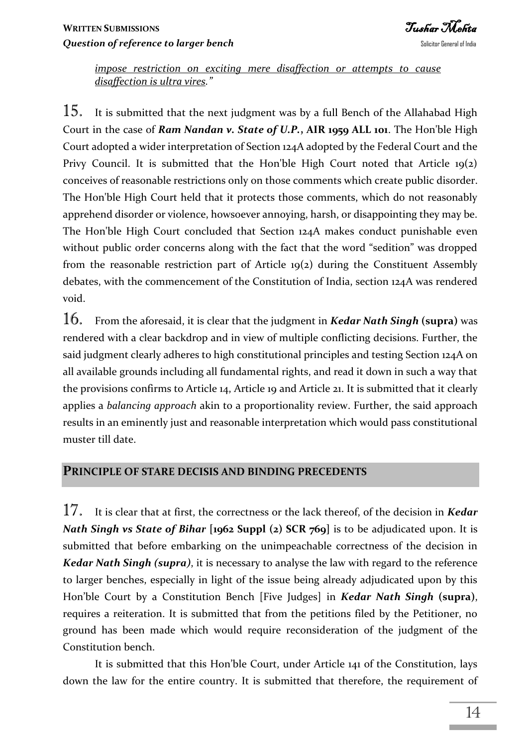*impose restriction on exciting mere disaffection or attempts to cause disaffection is ultra vires."*

 $15.$  It is submitted that the next judgment was by a full Bench of the Allahabad High Court in the case of *Ram Nandan v. State of U.P.***, AIR 1959 ALL 101**. The Hon'ble High Court adopted a wider interpretation of Section 124A adopted by the Federal Court and the Privy Council. It is submitted that the Hon'ble High Court noted that Article 19(2) conceives of reasonable restrictions only on those comments which create public disorder. The Hon'ble High Court held that it protects those comments, which do not reasonably apprehend disorder or violence, howsoever annoying, harsh, or disappointing they may be. The Hon'ble High Court concluded that Section 124A makes conduct punishable even without public order concerns along with the fact that the word "sedition" was dropped from the reasonable restriction part of Article 19(2) during the Constituent Assembly debates, with the commencement of the Constitution of India, section 124A was rendered void.

16. From the aforesaid, it is clear that the judgment in *Kedar Nath Singh* **(supra)** was rendered with a clear backdrop and in view of multiple conflicting decisions. Further, the said judgment clearly adheres to high constitutional principles and testing Section 124A on all available grounds including all fundamental rights, and read it down in such a way that the provisions confirms to Article 14, Article 19 and Article 21. It is submitted that it clearly applies a *balancing approach* akin to a proportionality review. Further, the said approach results in an eminently just and reasonable interpretation which would pass constitutional muster till date.

# **PRINCIPLE OF STARE DECISIS AND BINDING PRECEDENTS**

17. It is clear that at first, the correctness or the lack thereof, of the decision in *Kedar Nath Singh vs State of Bihar* [1962 Suppl (2) SCR 769] is to be adjudicated upon. It is submitted that before embarking on the unimpeachable correctness of the decision in *Kedar Nath Singh (supra)*, it is necessary to analyse the law with regard to the reference to larger benches, especially in light of the issue being already adjudicated upon by this Hon'ble Court by a Constitution Bench [Five Judges] in *Kedar Nath Singh* **(supra)**, requires a reiteration. It is submitted that from the petitions filed by the Petitioner, no ground has been made which would require reconsideration of the judgment of the Constitution bench.

It is submitted that this Hon'ble Court, under Article 141 of the Constitution, lays down the law for the entire country. It is submitted that therefore, the requirement of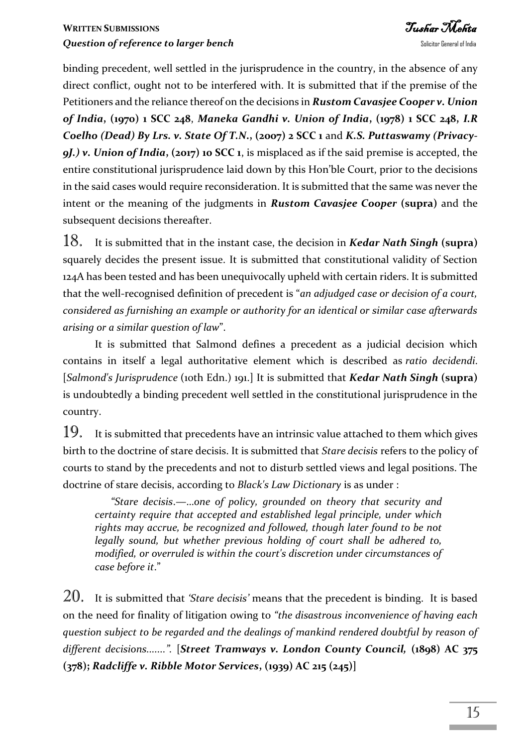binding precedent, well settled in the jurisprudence in the country, in the absence of any direct conflict, ought not to be interfered with. It is submitted that if the premise of the Petitioners and the reliance thereof on the decisions in *Rustom Cavasjee Cooper v. Union of India***, (1970) 1 SCC 248**, *Maneka Gandhi v. Union of India***, (1978) 1 SCC 248,** *I.R Coelho (Dead) By Lrs. v. State Of T.N***., (2007) 2 SCC 1** and *K.S. Puttaswamy (Privacy-9J.) v. Union of India***, (2017) 10 SCC 1**, is misplaced as if the said premise is accepted, the entire constitutional jurisprudence laid down by this Hon'ble Court, prior to the decisions in the said cases would require reconsideration. It is submitted that the same was never the intent or the meaning of the judgments in *Rustom Cavasjee Cooper* **(supra)** and the subsequent decisions thereafter.

18. It is submitted that in the instant case, the decision in *Kedar Nath Singh* **(supra)** squarely decides the present issue. It is submitted that constitutional validity of Section 124A has been tested and has been unequivocally upheld with certain riders. It is submitted that the well-recognised definition of precedent is "*an adjudged case or decision of a court, considered as furnishing an example or authority for an identical or similar case afterwards arising or a similar question of law*".

It is submitted that Salmond defines a precedent as a judicial decision which contains in itself a legal authoritative element which is described as *ratio decidendi*. [*Salmond's Jurisprudence* (10th Edn.) 191.] It is submitted that *Kedar Nath Singh* **(supra)** is undoubtedly a binding precedent well settled in the constitutional jurisprudence in the country.

19. It is submitted that precedents have an intrinsic value attached to them which gives birth to the doctrine of stare decisis. It is submitted that *Stare decisis* refers to the policy of courts to stand by the precedents and not to disturb settled views and legal positions. The doctrine of stare decisis, according to *Black's Law Dictionary* is as under :

*"Stare decisis*.—…*one of policy, grounded on theory that security and certainty require that accepted and established legal principle, under which rights may accrue, be recognized and followed, though later found to be not legally sound, but whether previous holding of court shall be adhered to, modified, or overruled is within the court's discretion under circumstances of case before it*."

20. It is submitted that *'Stare decisis'* means that the precedent is binding. It is based on the need for finality of litigation owing to *"the disastrous inconvenience of having each question subject to be regarded and the dealings of mankind rendered doubtful by reason of different decisions.......".* [*Street Tramways v. London County Council,* **(1898) AC 375 (378);** *Radcliffe v. Ribble Motor Services***, (1939) AC 215 (245)]**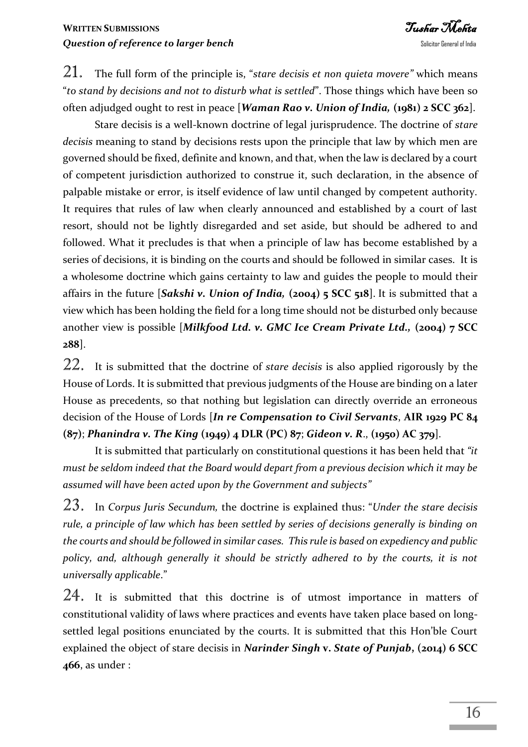21. The full form of the principle is, "*stare decisis et non quieta movere"* which means "*to stand by decisions and not to disturb what is settled*". Those things which have been so often adjudged ought to rest in peace [*Waman Rao v. Union of India,* **(1981) 2 SCC 362**].

Stare decisis is a well-known doctrine of legal jurisprudence. The doctrine of *stare decisis* meaning to stand by decisions rests upon the principle that law by which men are governed should be fixed, definite and known, and that, when the law is declared by a court of competent jurisdiction authorized to construe it, such declaration, in the absence of palpable mistake or error, is itself evidence of law until changed by competent authority. It requires that rules of law when clearly announced and established by a court of last resort, should not be lightly disregarded and set aside, but should be adhered to and followed. What it precludes is that when a principle of law has become established by a series of decisions, it is binding on the courts and should be followed in similar cases. It is a wholesome doctrine which gains certainty to law and guides the people to mould their affairs in the future [*Sakshi v. Union of India,* **(2004) 5 SCC 518**]. It is submitted that a view which has been holding the field for a long time should not be disturbed only because another view is possible [*Milkfood Ltd. v. GMC Ice Cream Private Ltd.,* (2004) 7 SCC **288**].

22. It is submitted that the doctrine of *stare decisis* is also applied rigorously by the House of Lords. It is submitted that previous judgments of the House are binding on a later House as precedents, so that nothing but legislation can directly override an erroneous decision of the House of Lords [*In re Compensation to Civil Servants*, **AIR 1929 PC 84 (87)**; *Phanindra v. The King* **(1949) 4 DLR (PC) 87**; *Gideon v. R*., **(1950) AC 379**].

It is submitted that particularly on constitutional questions it has been held that *"it must be seldom indeed that the Board would depart from a previous decision which it may be assumed will have been acted upon by the Government and subjects"*

23. In *Corpus Juris Secundum,* the doctrine is explained thus: "*Under the stare decisis rule, a principle of law which has been settled by series of decisions generally is binding on the courts and should be followed in similar cases. This rule is based on expediency and public policy, and, although generally it should be strictly adhered to by the courts, it is not universally applicable*."

24. It is submitted that this doctrine is of utmost importance in matters of constitutional validity of laws where practices and events have taken place based on longsettled legal positions enunciated by the courts. It is submitted that this Hon'ble Court explained the object of stare decisis in *Narinder Singh* **v.** *State of Punjab***, (2014) 6 SCC 466**, as under :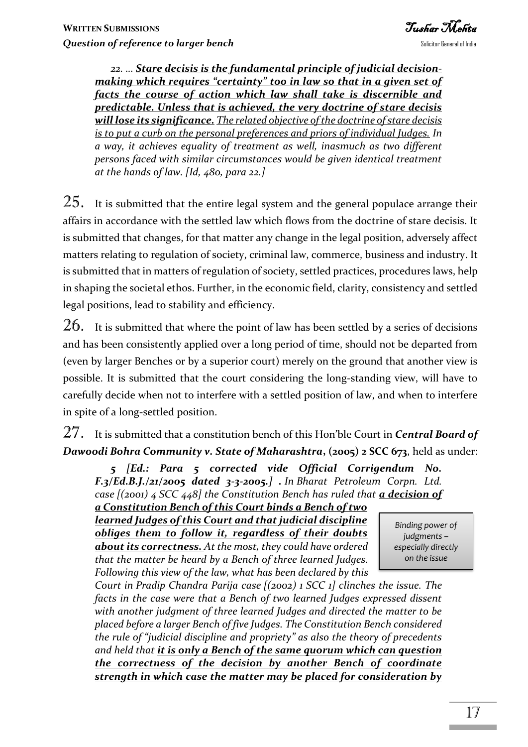*22. … Stare decisis is the fundamental principle of judicial decisionmaking which requires "certainty" too in law so that in a given set of facts the course of action which law shall take is discernible and predictable. Unless that is achieved, the very doctrine of stare decisis will lose its significance. The related objective of the doctrine of stare decisis is to put a curb on the personal preferences and priors of individual Judges. In a way, it achieves equality of treatment as well, inasmuch as two different persons faced with similar circumstances would be given identical treatment at the hands of law. [Id, 480, para 22.]*

 $25.$  It is submitted that the entire legal system and the general populace arrange their affairs in accordance with the settled law which flows from the doctrine of stare decisis. It is submitted that changes, for that matter any change in the legal position, adversely affect matters relating to regulation of society, criminal law, commerce, business and industry. It is submitted that in matters of regulation of society, settled practices, procedures laws, help in shaping the societal ethos. Further, in the economic field, clarity, consistency and settled legal positions, lead to stability and efficiency.

 $26.$  It is submitted that where the point of law has been settled by a series of decisions and has been consistently applied over a long period of time, should not be departed from (even by larger Benches or by a superior court) merely on the ground that another view is possible. It is submitted that the court considering the long-standing view, will have to carefully decide when not to interfere with a settled position of law, and when to interfere in spite of a long-settled position.

27. It is submitted that a constitution bench of this Hon'ble Court in *Central Board of Dawoodi Bohra Community v. State of Maharashtra***, (2005) 2 SCC 673**, held as under:

*5 [Ed.: Para 5 corrected vide Official Corrigendum No. F.3/Ed.B.J./21/2005 dated 3-3-2005.] . In Bharat Petroleum Corpn. Ltd. case [(2001) 4 SCC 448] the Constitution Bench has ruled that a decision of* 

*a Constitution Bench of this Court binds a Bench of two learned Judges of this Court and that judicial discipline obliges them to follow it, regardless of their doubts about its correctness. At the most, they could have ordered that the matter be heard by a Bench of three learned Judges. Following this view of the law, what has been declared by this* 



*Court in Pradip Chandra Parija case [(2002) 1 SCC 1] clinches the issue. The facts in the case were that a Bench of two learned Judges expressed dissent with another judgment of three learned Judges and directed the matter to be placed before a larger Bench of five Judges. The Constitution Bench considered the rule of "judicial discipline and propriety" as also the theory of precedents and held that it is only a Bench of the same quorum which can question the correctness of the decision by another Bench of coordinate strength in which case the matter may be placed for consideration by*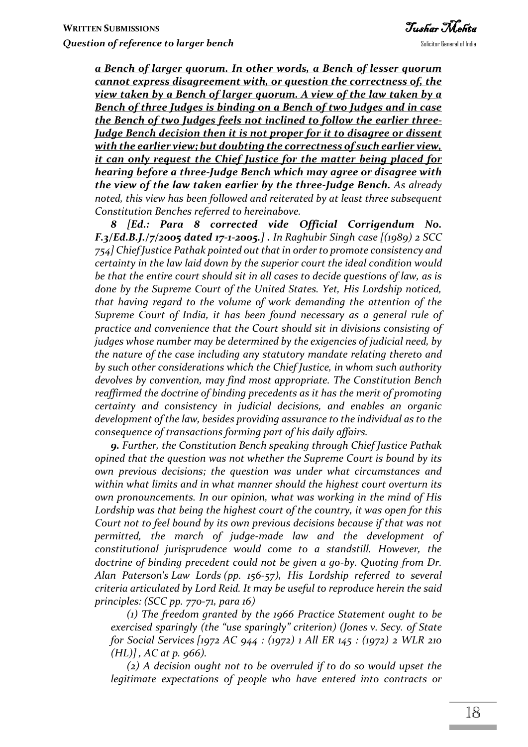*a Bench of larger quorum. In other words, a Bench of lesser quorum cannot express disagreement with, or question the correctness of, the view taken by a Bench of larger quorum. A view of the law taken by a Bench of three Judges is binding on a Bench of two Judges and in case the Bench of two Judges feels not inclined to follow the earlier three-Judge Bench decision then it is not proper for it to disagree or dissent with the earlier view; but doubting the correctness of such earlier view, it can only request the Chief Justice for the matter being placed for hearing before a three-Judge Bench which may agree or disagree with the view of the law taken earlier by the three-Judge Bench. As already noted, this view has been followed and reiterated by at least three subsequent Constitution Benches referred to hereinabove.*

*8 [Ed.: Para 8 corrected vide Official Corrigendum No. F.3/Ed.B.J./7/2005 dated 17-1-2005.] . In Raghubir Singh case [(1989) 2 SCC 754] Chief Justice Pathak pointed out that in order to promote consistency and certainty in the law laid down by the superior court the ideal condition would be that the entire court should sit in all cases to decide questions of law, as is done by the Supreme Court of the United States. Yet, His Lordship noticed, that having regard to the volume of work demanding the attention of the Supreme Court of India, it has been found necessary as a general rule of practice and convenience that the Court should sit in divisions consisting of judges whose number may be determined by the exigencies of judicial need, by the nature of the case including any statutory mandate relating thereto and by such other considerations which the Chief Justice, in whom such authority devolves by convention, may find most appropriate. The Constitution Bench reaffirmed the doctrine of binding precedents as it has the merit of promoting certainty and consistency in judicial decisions, and enables an organic development of the law, besides providing assurance to the individual as to the consequence of transactions forming part of his daily affairs.*

*9. Further, the Constitution Bench speaking through Chief Justice Pathak opined that the question was not whether the Supreme Court is bound by its own previous decisions; the question was under what circumstances and within what limits and in what manner should the highest court overturn its own pronouncements. In our opinion, what was working in the mind of His Lordship was that being the highest court of the country, it was open for this Court not to feel bound by its own previous decisions because if that was not permitted, the march of judge-made law and the development of constitutional jurisprudence would come to a standstill. However, the doctrine of binding precedent could not be given a go-by. Quoting from Dr. Alan Paterson's Law Lords (pp. 156-57), His Lordship referred to several criteria articulated by Lord Reid. It may be useful to reproduce herein the said principles: (SCC pp. 770-71, para 16)*

*(1) The freedom granted by the 1966 Practice Statement ought to be exercised sparingly (the "use sparingly" criterion) (Jones v. Secy. of State for Social Services [1972 AC 944 : (1972) 1 All ER 145 : (1972) 2 WLR 210 (HL)] , AC at p. 966).*

*(2) A decision ought not to be overruled if to do so would upset the legitimate expectations of people who have entered into contracts or*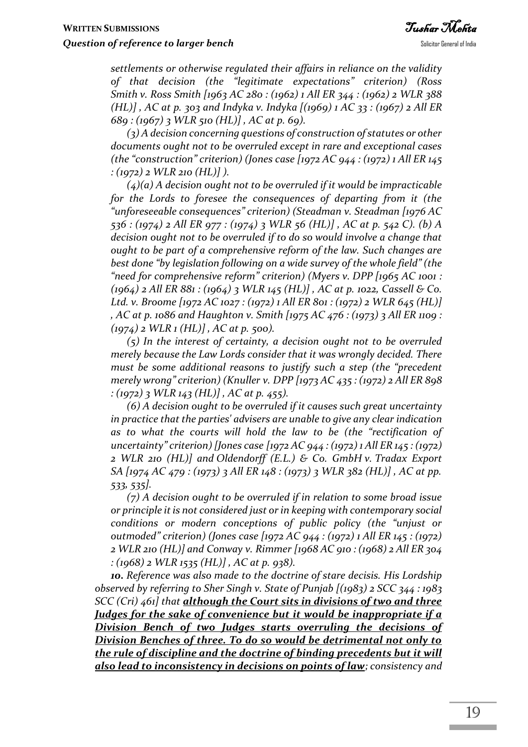*settlements or otherwise regulated their affairs in reliance on the validity of that decision (the "legitimate expectations" criterion) (Ross Smith v. Ross Smith [1963 AC 280 : (1962) 1 All ER 344 : (1962) 2 WLR 388 (HL)] , AC at p. 303 and Indyka v. Indyka [(1969) 1 AC 33 : (1967) 2 All ER 689 : (1967) 3 WLR 510 (HL)] , AC at p. 69).*

*(3) A decision concerning questions of construction of statutes or other documents ought not to be overruled except in rare and exceptional cases (the "construction" criterion) (Jones case [1972 AC 944 : (1972) 1 All ER 145 : (1972) 2 WLR 210 (HL)] ).*

*(4)(a) A decision ought not to be overruled if it would be impracticable for the Lords to foresee the consequences of departing from it (the "unforeseeable consequences" criterion) (Steadman v. Steadman [1976 AC 536 : (1974) 2 All ER 977 : (1974) 3 WLR 56 (HL)] , AC at p. 542 C). (b) A decision ought not to be overruled if to do so would involve a change that ought to be part of a comprehensive reform of the law. Such changes are best done "by legislation following on a wide survey of the whole field" (the "need for comprehensive reform" criterion) (Myers v. DPP [1965 AC 1001 : (1964) 2 All ER 881 : (1964) 3 WLR 145 (HL)] , AC at p. 1022, Cassell & Co. Ltd. v. Broome [1972 AC 1027 : (1972) 1 All ER 801 : (1972) 2 WLR 645 (HL)] , AC at p. 1086 and Haughton v. Smith [1975 AC 476 : (1973) 3 All ER 1109 : (1974) 2 WLR 1 (HL)] , AC at p. 500).*

*(5) In the interest of certainty, a decision ought not to be overruled merely because the Law Lords consider that it was wrongly decided. There must be some additional reasons to justify such a step (the "precedent merely wrong" criterion) (Knuller v. DPP [1973 AC 435 : (1972) 2 All ER 898 : (1972) 3 WLR 143 (HL)] , AC at p. 455).*

*(6) A decision ought to be overruled if it causes such great uncertainty in practice that the parties' advisers are unable to give any clear indication as to what the courts will hold the law to be (the "rectification of uncertainty" criterion) [Jones case [1972 AC 944 : (1972) 1 All ER 145 : (1972) 2 WLR 210 (HL)] and Oldendorff (E.L.) & Co. GmbH v. Tradax Export SA [1974 AC 479 : (1973) 3 All ER 148 : (1973) 3 WLR 382 (HL)] , AC at pp. 533, 535].*

*(7) A decision ought to be overruled if in relation to some broad issue or principle it is not considered just or in keeping with contemporary social conditions or modern conceptions of public policy (the "unjust or outmoded" criterion) (Jones case [1972 AC 944 : (1972) 1 All ER 145 : (1972) 2 WLR 210 (HL)] and Conway v. Rimmer [1968 AC 910 : (1968) 2 All ER 304 : (1968) 2 WLR 1535 (HL)] , AC at p. 938).*

*10. Reference was also made to the doctrine of stare decisis. His Lordship observed by referring to Sher Singh v. State of Punjab [(1983) 2 SCC 344 : 1983 SCC (Cri) 461] that although the Court sits in divisions of two and three Judges for the sake of convenience but it would be inappropriate if a Division Bench of two Judges starts overruling the decisions of Division Benches of three. To do so would be detrimental not only to the rule of discipline and the doctrine of binding precedents but it will also lead to inconsistency in decisions on points of law; consistency and*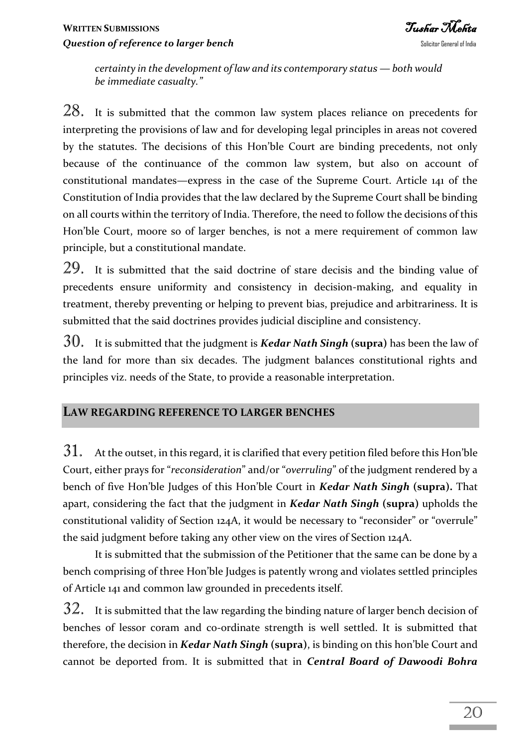*certainty in the development of law and its contemporary status — both would be immediate casualty."*

28. It is submitted that the common law system places reliance on precedents for interpreting the provisions of law and for developing legal principles in areas not covered by the statutes. The decisions of this Hon'ble Court are binding precedents, not only because of the continuance of the common law system, but also on account of constitutional mandates—express in the case of the Supreme Court. Article 141 of the Constitution of India provides that the law declared by the Supreme Court shall be binding on all courts within the territory of India. Therefore, the need to follow the decisions of this Hon'ble Court, moore so of larger benches, is not a mere requirement of common law principle, but a constitutional mandate.

29. It is submitted that the said doctrine of stare decisis and the binding value of precedents ensure uniformity and consistency in decision-making, and equality in treatment, thereby preventing or helping to prevent bias, prejudice and arbitrariness. It is submitted that the said doctrines provides judicial discipline and consistency.

30. It is submitted that the judgment is *Kedar Nath Singh* **(supra)** has been the law of the land for more than six decades. The judgment balances constitutional rights and principles viz. needs of the State, to provide a reasonable interpretation.

### **LAW REGARDING REFERENCE TO LARGER BENCHES**

 $31.$  At the outset, in this regard, it is clarified that every petition filed before this Hon'ble Court, either prays for "*reconsideration*" and/or "*overruling*" of the judgment rendered by a bench of five Hon'ble Judges of this Hon'ble Court in *Kedar Nath Singh* **(supra).** That apart, considering the fact that the judgment in *Kedar Nath Singh* **(supra)** upholds the constitutional validity of Section 124A, it would be necessary to "reconsider" or "overrule" the said judgment before taking any other view on the vires of Section 124A.

It is submitted that the submission of the Petitioner that the same can be done by a bench comprising of three Hon'ble Judges is patently wrong and violates settled principles of Article 141 and common law grounded in precedents itself.

 $32.$  It is submitted that the law regarding the binding nature of larger bench decision of benches of lessor coram and co-ordinate strength is well settled. It is submitted that therefore, the decision in *Kedar Nath Singh* **(supra)**, is binding on this hon'ble Court and cannot be deported from. It is submitted that in *Central Board of Dawoodi Bohra*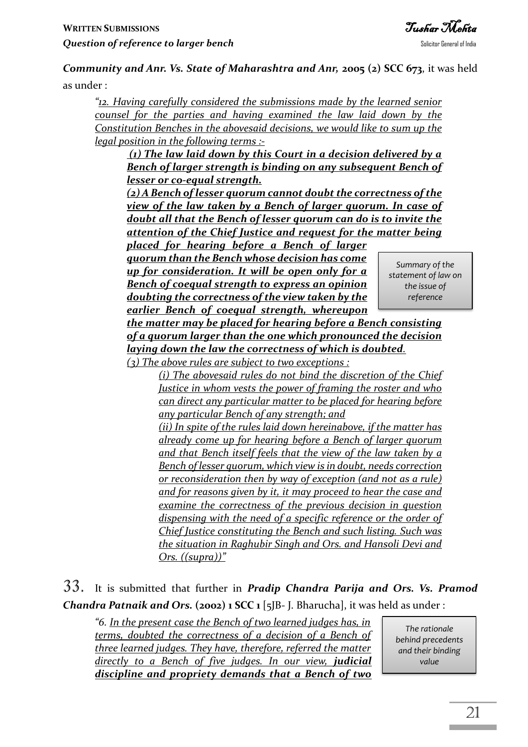*Community and Anr. Vs. State of Maharashtra and Anr,* **2005 (2) SCC 673**, it was held as under :

*"12. Having carefully considered the submissions made by the learned senior counsel for the parties and having examined the law laid down by the Constitution Benches in the abovesaid decisions, we would like to sum up the legal position in the following terms :-*

*(1) The law laid down by this Court in a decision delivered by a Bench of larger strength is binding on any subsequent Bench of lesser or co-equal strength.* 

*(2) A Bench of lesser quorum cannot doubt the correctness of the view of the law taken by a Bench of larger quorum. In case of doubt all that the Bench of lesser quorum can do is to invite the attention of the Chief Justice and request for the matter being* 

*placed for hearing before a Bench of larger quorum than the Bench whose decision has come up for consideration. It will be open only for a Bench of coequal strength to express an opinion doubting the correctness of the view taken by the earlier Bench of coequal strength, whereupon* 

*Summary of the statement of law on the issue of reference*

*the matter may be placed for hearing before a Bench consisting of a quorum larger than the one which pronounced the decision laying down the law the correctness of which is doubted.* 

*(3) The above rules are subject to two exceptions :* 

*(i) The abovesaid rules do not bind the discretion of the Chief Justice in whom vests the power of framing the roster and who can direct any particular matter to be placed for hearing before any particular Bench of any strength; and* 

*(ii) In spite of the rules laid down hereinabove, if the matter has already come up for hearing before a Bench of larger quorum and that Bench itself feels that the view of the law taken by a Bench of lesser quorum, which view is in doubt, needs correction or reconsideration then by way of exception (and not as a rule) and for reasons given by it, it may proceed to hear the case and examine the correctness of the previous decision in question dispensing with the need of a specific reference or the order of Chief Justice constituting the Bench and such listing. Such was the situation in Raghubir Singh and Ors. and Hansoli Devi and Ors. ((supra))"*

33. It is submitted that further in *Pradip Chandra Parija and Ors. Vs. Pramod*  **Chandra Patnaik and Ors. (2002) 1 SCC 1** [5]B- J. Bharucha], it was held as under :

*"6. In the present case the Bench of two learned judges has, in terms, doubted the correctness of a decision of a Bench of three learned judges. They have, therefore, referred the matter directly to a Bench of five judges. In our view, judicial discipline and propriety demands that a Bench of two* 

*The rationale behind precedents and their binding value*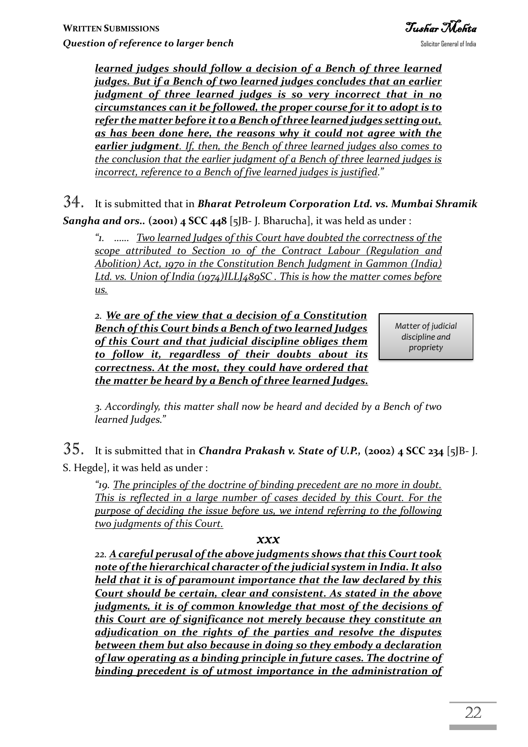*learned judges should follow a decision of a Bench of three learned judges. But if a Bench of two learned judges concludes that an earlier judgment of three learned judges is so very incorrect that in no circumstances can it be followed, the proper course for it to adopt is to refer the matter before it to a Bench of three learned judges setting out, as has been done here, the reasons why it could not agree with the earlier judgment. If, then, the Bench of three learned judges also comes to the conclusion that the earlier judgment of a Bench of three learned judges is incorrect, reference to a Bench of five learned judges is justified."*

34. It is submitted that in *Bharat Petroleum Corporation Ltd. vs. Mumbai Shramik*  **Sangha and ors..** (2001) 4 **SCC** 448 [5]B- J. Bharucha], it was held as under :

*"1. …… Two learned Judges of this Court have doubted the correctness of the scope attributed to Section 10 of the Contract Labour (Regulation and Abolition) Act, 1970 in the Constitution Bench Judgment in Gammon (India) Ltd. vs. Union of India (1974)ILLJ489SC . This is how the matter comes before us.*

*2. We are of the view that a decision of a Constitution Bench of this Court binds a Bench of two learned Judges of this Court and that judicial discipline obliges them to follow it, regardless of their doubts about its correctness. At the most, they could have ordered that the matter be heard by a Bench of three learned Judges.*

*Matter of judicial discipline and propriety* 

*3. Accordingly, this matter shall now be heard and decided by a Bench of two learned Judges."*

35. It is submitted that in *Chandra Prakash v. State of U.P.,* **(2002) 4 SCC 234** [5JB- J. S. Hegde], it was held as under :

*"19. The principles of the doctrine of binding precedent are no more in doubt. This is reflected in a large number of cases decided by this Court. For the purpose of deciding the issue before us, we intend referring to the following two judgments of this Court.*

### *xxx*

*22. A careful perusal of the above judgments shows that this Court took note of the hierarchical character of the judicial system in India. It also held that it is of paramount importance that the law declared by this Court should be certain, clear and consistent. As stated in the above judgments, it is of common knowledge that most of the decisions of this Court are of significance not merely because they constitute an adjudication on the rights of the parties and resolve the disputes between them but also because in doing so they embody a declaration of law operating as a binding principle in future cases. The doctrine of binding precedent is of utmost importance in the administration of*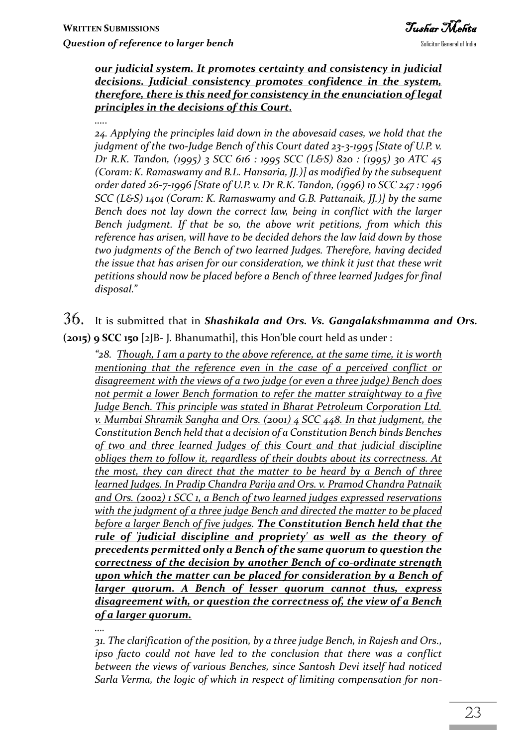*…..*

### *our judicial system. It promotes certainty and consistency in judicial decisions. Judicial consistency promotes confidence in the system, therefore, there is this need for consistency in the enunciation of legal principles in the decisions of this Court.*

*24. Applying the principles laid down in the abovesaid cases, we hold that the judgment of the two-Judge Bench of this Court dated 23-3-1995 [State of U.P. v. Dr R.K. Tandon, (1995) 3 SCC 616 : 1995 SCC (L&S) 820 : (1995) 30 ATC 45 (Coram: K. Ramaswamy and B.L. Hansaria, JJ.)] as modified by the subsequent order dated 26-7-1996 [State of U.P. v. Dr R.K. Tandon, (1996) 10 SCC 247 : 1996 SCC (L&S) 1401 (Coram: K. Ramaswamy and G.B. Pattanaik, JJ.)] by the same Bench does not lay down the correct law, being in conflict with the larger Bench judgment. If that be so, the above writ petitions, from which this reference has arisen, will have to be decided dehors the law laid down by those two judgments of the Bench of two learned Judges. Therefore, having decided the issue that has arisen for our consideration, we think it just that these writ petitions should now be placed before a Bench of three learned Judges for final disposal."*

# 36. It is submitted that in *Shashikala and Ors. Vs. Gangalakshmamma and Ors.*

**(2015) 9 SCC 150** [2JB- J. Bhanumathi], this Hon'ble court held as under :

*"28. Though, I am a party to the above reference, at the same time, it is worth mentioning that the reference even in the case of a perceived conflict or disagreement with the views of a two judge (or even a three judge) Bench does not permit a lower Bench formation to refer the matter straightway to a five Judge Bench. This principle was stated in Bharat Petroleum Corporation Ltd. v. Mumbai Shramik Sangha and Ors. (2001) 4 SCC 448. In that judgment, the Constitution Bench held that a decision of a Constitution Bench binds Benches of two and three learned Judges of this Court and that judicial discipline obliges them to follow it, regardless of their doubts about its correctness. At the most, they can direct that the matter to be heard by a Bench of three learned Judges. In Pradip Chandra Parija and Ors. v. Pramod Chandra Patnaik and Ors. (2002) 1 SCC 1, a Bench of two learned judges expressed reservations with the judgment of a three judge Bench and directed the matter to be placed before a larger Bench of five judges. The Constitution Bench held that the rule of 'judicial discipline and propriety' as well as the theory of precedents permitted only a Bench of the same quorum to question the correctness of the decision by another Bench of co-ordinate strength upon which the matter can be placed for consideration by a Bench of larger quorum. A Bench of lesser quorum cannot thus, express disagreement with, or question the correctness of, the view of a Bench of a larger quorum.*

*…. 31. The clarification of the position, by a three judge Bench, in Rajesh and Ors., ipso facto could not have led to the conclusion that there was a conflict between the views of various Benches, since Santosh Devi itself had noticed Sarla Verma, the logic of which in respect of limiting compensation for non-*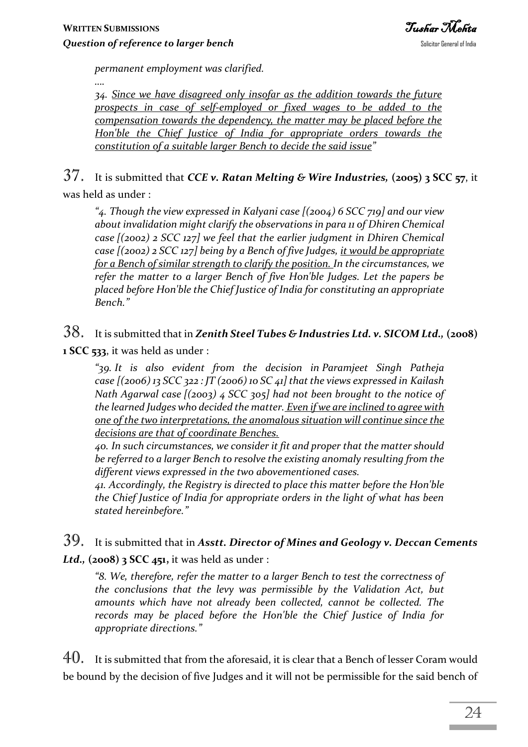*permanent employment was clarified.*

*….*

*34. Since we have disagreed only insofar as the addition towards the future prospects in case of self-employed or fixed wages to be added to the compensation towards the dependency, the matter may be placed before the Hon'ble the Chief Justice of India for appropriate orders towards the constitution of a suitable larger Bench to decide the said issue"*

# 37. It is submitted that *CCE v. Ratan Melting & Wire Industries,* **(2005) 3 SCC 57**, it

was held as under :

*"4. Though the view expressed in Kalyani case [(2004) 6 SCC 719] and our view about invalidation might clarify the observations in para 11 of Dhiren Chemical case [(2002) 2 SCC 127] we feel that the earlier judgment in Dhiren Chemical case [(2002) 2 SCC 127] being by a Bench of five Judges, it would be appropriate for a Bench of similar strength to clarify the position. In the circumstances, we refer the matter to a larger Bench of five Hon'ble Judges. Let the papers be placed before Hon'ble the Chief Justice of India for constituting an appropriate Bench."*

# 38. It is submitted that in *Zenith Steel Tubes & Industries Ltd. v. SICOM Ltd.,* **(2008)**

**1 SCC 533**, it was held as under :

*"39. It is also evident from the decision in Paramjeet Singh Patheja case [(2006) 13 SCC 322 : JT (2006) 10 SC 41] that the views expressed in Kailash Nath Agarwal case [(2003) 4 SCC 305] had not been brought to the notice of the learned Judges who decided the matter. Even if we are inclined to agree with one of the two interpretations, the anomalous situation will continue since the decisions are that of coordinate Benches.*

*40. In such circumstances, we consider it fit and proper that the matter should be referred to a larger Bench to resolve the existing anomaly resulting from the different views expressed in the two abovementioned cases.*

*41. Accordingly, the Registry is directed to place this matter before the Hon'ble the Chief Justice of India for appropriate orders in the light of what has been stated hereinbefore."*

# 39. It is submitted that in *Asstt. Director of Mines and Geology v. Deccan Cements Ltd.,* **(2008) 3 SCC 451,** it was held as under :

*"8. We, therefore, refer the matter to a larger Bench to test the correctness of* 

*the conclusions that the levy was permissible by the Validation Act, but amounts which have not already been collected, cannot be collected. The records may be placed before the Hon'ble the Chief Justice of India for appropriate directions."*

 $40.$  It is submitted that from the aforesaid, it is clear that a Bench of lesser Coram would be bound by the decision of five Judges and it will not be permissible for the said bench of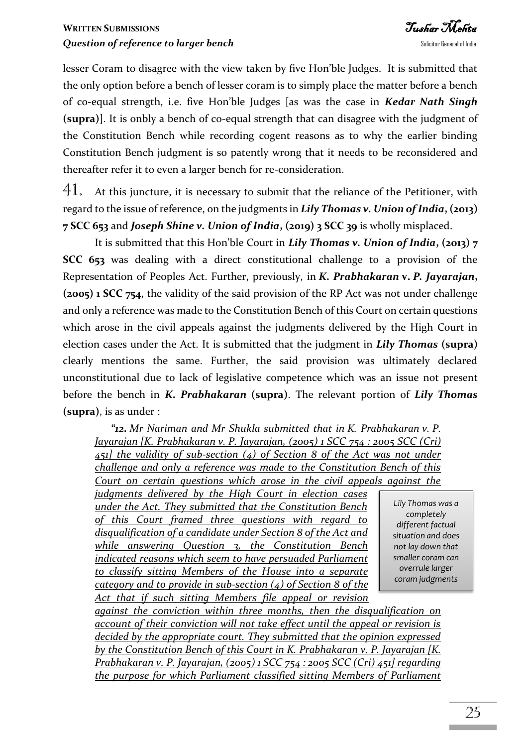lesser Coram to disagree with the view taken by five Hon'ble Judges. It is submitted that the only option before a bench of lesser coram is to simply place the matter before a bench of co-equal strength, i.e. five Hon'ble Judges [as was the case in *Kedar Nath Singh*  **(supra)**]. It is onbly a bench of co-equal strength that can disagree with the judgment of the Constitution Bench while recording cogent reasons as to why the earlier binding Constitution Bench judgment is so patently wrong that it needs to be reconsidered and thereafter refer it to even a larger bench for re-consideration.

 $41.$  At this juncture, it is necessary to submit that the reliance of the Petitioner, with regard to the issue of reference, on the judgments in *Lily Thomas v. Union of India***, (2013) 7 SCC 653** and *Joseph Shine v. Union of India***, (2019) 3 SCC 39** is wholly misplaced.

It is submitted that this Hon'ble Court in *Lily Thomas v. Union of India***, (2013) 7 SCC 653** was dealing with a direct constitutional challenge to a provision of the Representation of Peoples Act. Further, previously, in *K. Prabhakaran* **v.** *P. Jayarajan***, (2005) 1 SCC 754**, the validity of the said provision of the RP Act was not under challenge and only a reference was made to the Constitution Bench of this Court on certain questions which arose in the civil appeals against the judgments delivered by the High Court in election cases under the Act. It is submitted that the judgment in *Lily Thomas* **(supra)** clearly mentions the same. Further, the said provision was ultimately declared unconstitutional due to lack of legislative competence which was an issue not present before the bench in *K. Prabhakaran* **(supra)**. The relevant portion of *Lily Thomas*  **(supra)**, is as under :

*"12. Mr Nariman and Mr Shukla submitted that in K. Prabhakaran v. P. Jayarajan [K. Prabhakaran v. P. Jayarajan, (2005) 1 SCC 754 : 2005 SCC (Cri) 451] the validity of sub-section (4) of Section 8 of the Act was not under challenge and only a reference was made to the Constitution Bench of this Court on certain questions which arose in the civil appeals against the judgments delivered by the High Court in election cases* 

*under the Act. They submitted that the Constitution Bench of this Court framed three questions with regard to disqualification of a candidate under Section 8 of the Act and while answering Question 3, the Constitution Bench indicated reasons which seem to have persuaded Parliament to classify sitting Members of the House into a separate category and to provide in sub-section (4) of Section 8 of the Act that if such sitting Members file appeal or revision* 

*Lily Thomas was a completely different factual situation and does not lay down that smaller coram can overrule larger coram judgments*

*against the conviction within three months, then the disqualification on account of their conviction will not take effect until the appeal or revision is decided by the appropriate court. They submitted that the opinion expressed by the Constitution Bench of this Court in K. Prabhakaran v. P. Jayarajan [K. Prabhakaran v. P. Jayarajan, (2005) 1 SCC 754 : 2005 SCC (Cri) 451] regarding the purpose for which Parliament classified sitting Members of Parliament*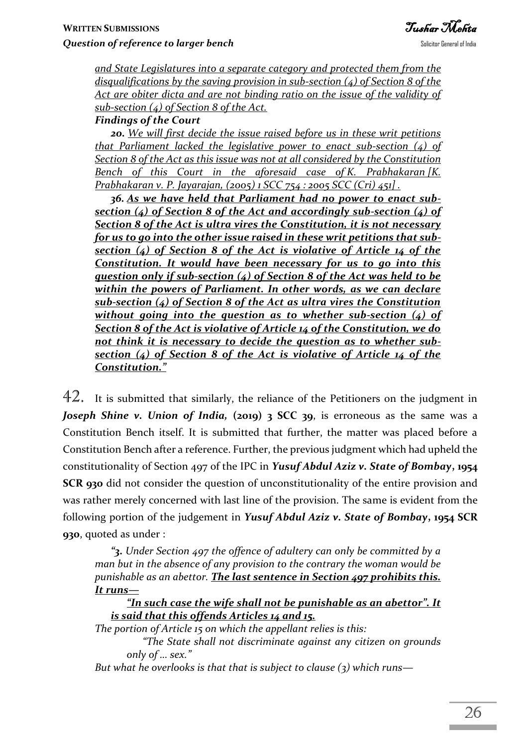*and State Legislatures into a separate category and protected them from the disqualifications by the saving provision in sub-section (4) of Section 8 of the Act are obiter dicta and are not binding ratio on the issue of the validity of sub-section (4) of Section 8 of the Act.*

*Findings of the Court*

*20. We will first decide the issue raised before us in these writ petitions that Parliament lacked the legislative power to enact sub-section (4) of Section 8 of the Act as this issue was not at all considered by the Constitution Bench of this Court in the aforesaid case of K. Prabhakaran [K. Prabhakaran v. P. Jayarajan, (2005) 1 SCC 754 : 2005 SCC (Cri) 451] .*

*36. As we have held that Parliament had no power to enact subsection (4) of Section 8 of the Act and accordingly sub-section (4) of Section 8 of the Act is ultra vires the Constitution, it is not necessary for us to go into the other issue raised in these writ petitions that subsection (4) of Section 8 of the Act is violative of Article 14 of the Constitution. It would have been necessary for us to go into this question only if sub-section (4) of Section 8 of the Act was held to be within the powers of Parliament. In other words, as we can declare sub-section (4) of Section 8 of the Act as ultra vires the Constitution without going into the question as to whether sub-section (4) of Section 8 of the Act is violative of Article 14 of the Constitution, we do not think it is necessary to decide the question as to whether subsection (4) of Section 8 of the Act is violative of Article 14 of the Constitution."*

 $42.$  It is submitted that similarly, the reliance of the Petitioners on the judgment in **Joseph Shine v. Union of India, (2019) 3 SCC 39, is erroneous as the same was a** Constitution Bench itself. It is submitted that further, the matter was placed before a Constitution Bench after a reference. Further, the previous judgment which had upheld the constitutionality of Section 497 of the IPC in *Yusuf Abdul Aziz v. State of Bombay***, 1954 SCR 930** did not consider the question of unconstitutionality of the entire provision and was rather merely concerned with last line of the provision. The same is evident from the following portion of the judgement in *Yusuf Abdul Aziz v. State of Bombay***, 1954 SCR 930**, quoted as under :

*"3. Under Section 497 the offence of adultery can only be committed by a man but in the absence of any provision to the contrary the woman would be punishable as an abettor. The last sentence in Section 497 prohibits this. It runs—*

*"In such case the wife shall not be punishable as an abettor". It is said that this offends Articles 14 and 15.*

*The portion of Article 15 on which the appellant relies is this:*

*"The State shall not discriminate against any citizen on grounds only of … sex."*

*But what he overlooks is that that is subject to clause (3) which runs—*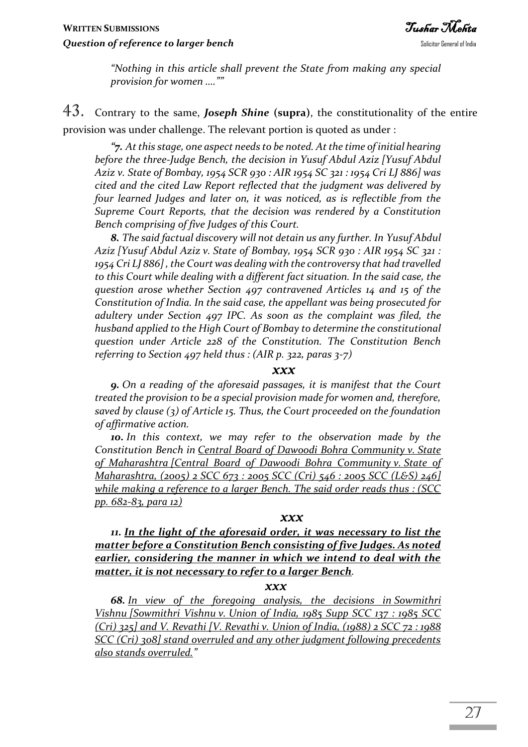*"Nothing in this article shall prevent the State from making any special provision for women ….""*

43. Contrary to the same, *Joseph Shine* **(supra)**, the constitutionality of the entire provision was under challenge. The relevant portion is quoted as under :

*"7. At this stage, one aspect needs to be noted. At the time of initial hearing before the three-Judge Bench, the decision in Yusuf Abdul Aziz [Yusuf Abdul Aziz v. State of Bombay, 1954 SCR 930 : AIR 1954 SC 321 : 1954 Cri LJ 886] was cited and the cited Law Report reflected that the judgment was delivered by four learned Judges and later on, it was noticed, as is reflectible from the Supreme Court Reports, that the decision was rendered by a Constitution Bench comprising of five Judges of this Court.*

*8. The said factual discovery will not detain us any further. In Yusuf Abdul Aziz [Yusuf Abdul Aziz v. State of Bombay, 1954 SCR 930 : AIR 1954 SC 321 : 1954 Cri LJ 886] , the Court was dealing with the controversy that had travelled to this Court while dealing with a different fact situation. In the said case, the question arose whether Section 497 contravened Articles 14 and 15 of the Constitution of India. In the said case, the appellant was being prosecuted for adultery under Section 497 IPC. As soon as the complaint was filed, the husband applied to the High Court of Bombay to determine the constitutional question under Article 228 of the Constitution. The Constitution Bench referring to Section 497 held thus : (AIR p. 322, paras 3-7)*

# *xxx*

*9. On a reading of the aforesaid passages, it is manifest that the Court treated the provision to be a special provision made for women and, therefore, saved by clause (3) of Article 15. Thus, the Court proceeded on the foundation of affirmative action.*

*10. In this context, we may refer to the observation made by the Constitution Bench in Central Board of Dawoodi Bohra Community v. State of Maharashtra [Central Board of Dawoodi Bohra Community v. State of Maharashtra, (2005) 2 SCC 673 : 2005 SCC (Cri) 546 : 2005 SCC (L&S) 246] while making a reference to a larger Bench. The said order reads thus : (SCC pp. 682-83, para 12)*

#### *xxx*

### *11. In the light of the aforesaid order, it was necessary to list the matter before a Constitution Bench consisting of five Judges. As noted earlier, considering the manner in which we intend to deal with the matter, it is not necessary to refer to a larger Bench.*

#### *xxx*

*68. In view of the foregoing analysis, the decisions in Sowmithri Vishnu [Sowmithri Vishnu v. Union of India, 1985 Supp SCC 137 : 1985 SCC (Cri) 325] and V. Revathi [V. Revathi v. Union of India, (1988) 2 SCC 72 : 1988 SCC (Cri) 308] stand overruled and any other judgment following precedents also stands overruled."*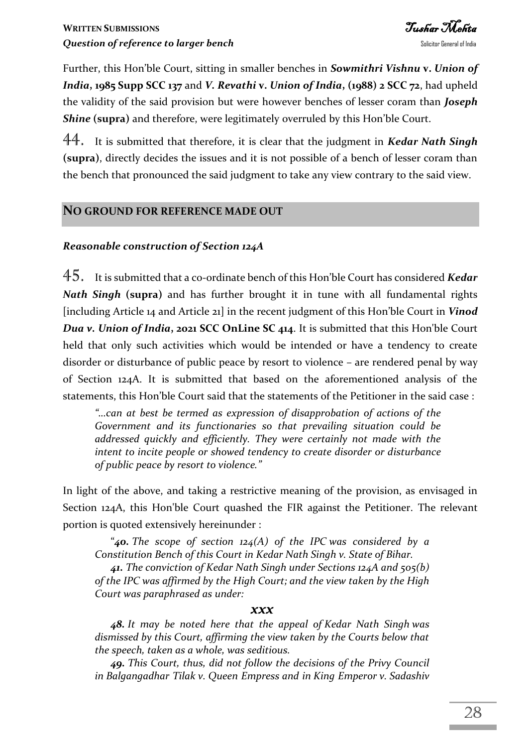Further, this Hon'ble Court, sitting in smaller benches in *Sowmithri Vishnu* **v.** *Union of India***, 1985 Supp SCC 137** and *V. Revathi* **v.** *Union of India***, (1988) 2 SCC 72**, had upheld the validity of the said provision but were however benches of lesser coram than *Joseph Shine* **(supra)** and therefore, were legitimately overruled by this Hon'ble Court.

44. It is submitted that therefore, it is clear that the judgment in *Kedar Nath Singh*  **(supra)**, directly decides the issues and it is not possible of a bench of lesser coram than the bench that pronounced the said judgment to take any view contrary to the said view.

## **NO GROUND FOR REFERENCE MADE OUT**

### *Reasonable construction of Section 124A*

45. It is submitted that a co-ordinate bench of this Hon'ble Court has considered *Kedar Nath Singh* **(supra)** and has further brought it in tune with all fundamental rights [including Article 14 and Article 21] in the recent judgment of this Hon'ble Court in *Vinod Dua v. Union of India***, 2021 SCC OnLine SC 414**. It is submitted that this Hon'ble Court held that only such activities which would be intended or have a tendency to create disorder or disturbance of public peace by resort to violence – are rendered penal by way of Section 124A. It is submitted that based on the aforementioned analysis of the statements, this Hon'ble Court said that the statements of the Petitioner in the said case :

*"…can at best be termed as expression of disapprobation of actions of the Government and its functionaries so that prevailing situation could be addressed quickly and efficiently. They were certainly not made with the intent to incite people or showed tendency to create disorder or disturbance of public peace by resort to violence."* 

In light of the above, and taking a restrictive meaning of the provision, as envisaged in Section 124A, this Hon'ble Court quashed the FIR against the Petitioner. The relevant portion is quoted extensively hereinunder :

"*40. The scope of section 124(A) of the IPC was considered by a Constitution Bench of this Court in Kedar Nath Singh v. State of Bihar.*

*41. The conviction of Kedar Nath Singh under Sections 124A and 505(b) of the IPC was affirmed by the High Court; and the view taken by the High Court was paraphrased as under:*

#### *xxx*

*48. It may be noted here that the appeal of Kedar Nath Singh was dismissed by this Court, affirming the view taken by the Courts below that the speech, taken as a whole, was seditious.*

*49. This Court, thus, did not follow the decisions of the Privy Council in Balgangadhar Tilak v. Queen Empress and in King Emperor v. Sadashiv*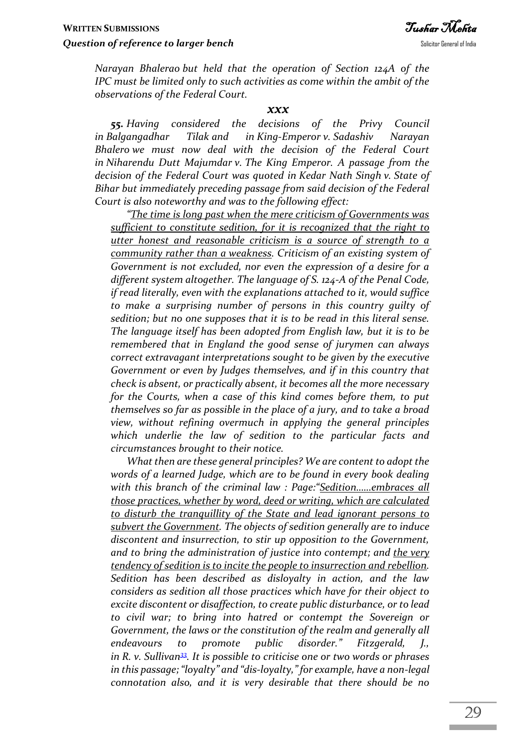*Narayan Bhalerao but held that the operation of Section 124A of the IPC must be limited only to such activities as come within the ambit of the observations of the Federal Court.*

#### *xxx*

*55. Having considered the decisions of the Privy Council in Balgangadhar Tilak and in King-Emperor v. Sadashiv Narayan Bhalero we must now deal with the decision of the Federal Court in Niharendu Dutt Majumdar v. The King Emperor. A passage from the decision of the Federal Court was quoted in Kedar Nath Singh v. State of Bihar but immediately preceding passage from said decision of the Federal Court is also noteworthy and was to the following effect:*

*"The time is long past when the mere criticism of Governments was sufficient to constitute sedition, for it is recognized that the right to utter honest and reasonable criticism is a source of strength to a community rather than a weakness. Criticism of an existing system of Government is not excluded, nor even the expression of a desire for a different system altogether. The language of S. 124-A of the Penal Code, if read literally, even with the explanations attached to it, would suffice to make a surprising number of persons in this country guilty of sedition; but no one supposes that it is to be read in this literal sense. The language itself has been adopted from English law, but it is to be remembered that in England the good sense of jurymen can always correct extravagant interpretations sought to be given by the executive Government or even by Judges themselves, and if in this country that check is absent, or practically absent, it becomes all the more necessary for the Courts, when a case of this kind comes before them, to put themselves so far as possible in the place of a jury, and to take a broad view, without refining overmuch in applying the general principles which underlie the law of sedition to the particular facts and circumstances brought to their notice.*

*What then are these general principles? We are content to adopt the words of a learned Judge, which are to be found in every book dealing with this branch of the criminal law : Page:"Sedition……embraces all those practices, whether by word, deed or writing, which are calculated to disturb the tranquillity of the State and lead ignorant persons to subvert the Government. The objects of sedition generally are to induce discontent and insurrection, to stir up opposition to the Government, and to bring the administration of justice into contempt; and the very tendency of sedition is to incite the people to insurrection and rebellion. Sedition has been described as disloyalty in action, and the law considers as sedition all those practices which have for their object to excite discontent or disaffection, to create public disturbance, or to lead to civil war; to bring into hatred or contempt the Sovereign or Government, the laws or the constitution of the realm and generally all endeavours to promote public disorder." Fitzgerald, J., in R. v. Sullivan[33](https://www.scconline.com/Members/SearchResult.aspx#FN0033). It is possible to criticise one or two words or phrases in this passage; "loyalty" and "dis-loyalty," for example, have a non-legal connotation also, and it is very desirable that there should be no*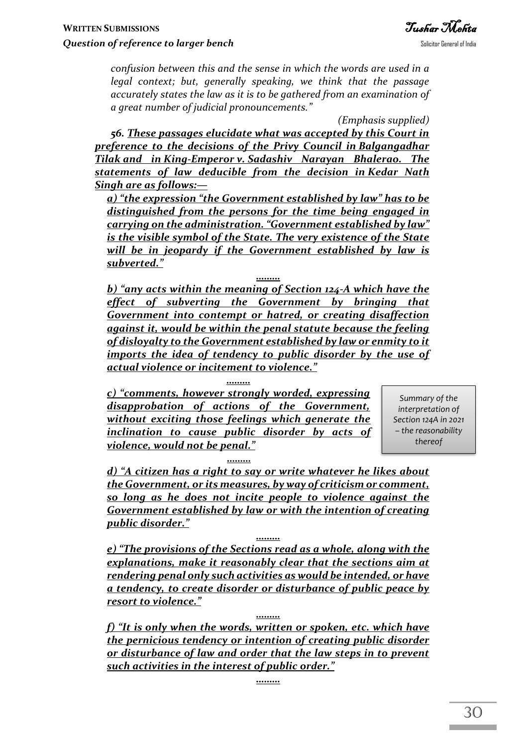*confusion between this and the sense in which the words are used in a legal context; but, generally speaking, we think that the passage accurately states the law as it is to be gathered from an examination of a great number of judicial pronouncements."*

*(Emphasis supplied)*

*56. These passages elucidate what was accepted by this Court in preference to the decisions of the Privy Council in Balgangadhar Tilak and in King-Emperor v. Sadashiv Narayan Bhalerao. The statements of law deducible from the decision in Kedar Nath Singh are as follows:—*

*a) "the expression "the Government established by law" has to be distinguished from the persons for the time being engaged in carrying on the administration. "Government established by law" is the visible symbol of the State. The very existence of the State will be in jeopardy if the Government established by law is subverted."*

*………*

*b) "any acts within the meaning of Section 124-A which have the effect of subverting the Government by bringing that Government into contempt or hatred, or creating disaffection against it, would be within the penal statute because the feeling of disloyalty to the Government established by law or enmity to it imports the idea of tendency to public disorder by the use of actual violence or incitement to violence."*

*………*

*c) "comments, however strongly worded, expressing disapprobation of actions of the Government, without exciting those feelings which generate the inclination to cause public disorder by acts of violence, would not be penal."*

*Summary of the interpretation of Section 124A in 2021 – the reasonability thereof*

*………*

*d) "A citizen has a right to say or write whatever he likes about the Government, or its measures, by way of criticism or comment, so long as he does not incite people to violence against the Government established by law or with the intention of creating public disorder."*

*……… e) "The provisions of the Sections read as a whole, along with the explanations, make it reasonably clear that the sections aim at rendering penal only such activities as would be intended, or have a tendency, to create disorder or disturbance of public peace by resort to violence."*

*f) "It is only when the words, written or spoken, etc. which have the pernicious tendency or intention of creating public disorder or disturbance of law and order that the law steps in to prevent such activities in the interest of public order."*

*………*

*………*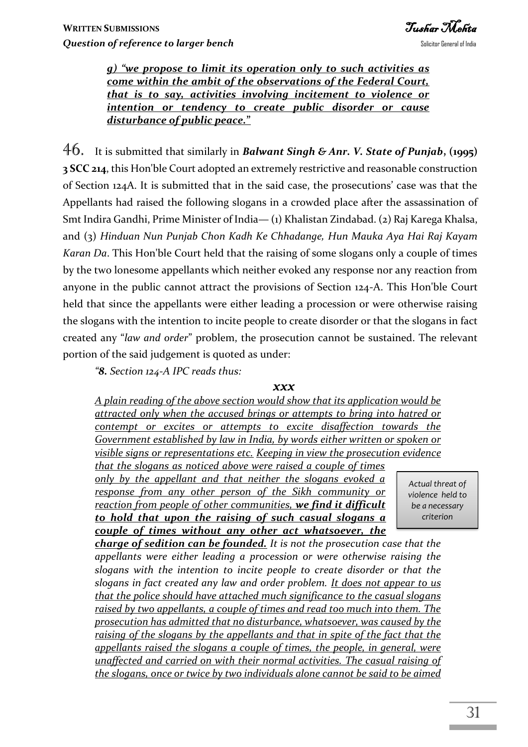*g) "we propose to limit its operation only to such activities as come within the ambit of the observations of the Federal Court, that is to say, activities involving incitement to violence or intention or tendency to create public disorder or cause disturbance of public peace.***"**

46. It is submitted that similarly in *Balwant Singh & Anr. V. State of Punjab***, (1995) 3 SCC 214**, this Hon'ble Court adopted an extremely restrictive and reasonable construction of Section 124A. It is submitted that in the said case, the prosecutions' case was that the Appellants had raised the following slogans in a crowded place after the assassination of Smt Indira Gandhi, Prime Minister of India— (1) Khalistan Zindabad. (2) Raj Karega Khalsa, and (3) *Hinduan Nun Punjab Chon Kadh Ke Chhadange, Hun Mauka Aya Hai Raj Kayam Karan Da*. This Hon'ble Court held that the raising of some slogans only a couple of times by the two lonesome appellants which neither evoked any response nor any reaction from anyone in the public cannot attract the provisions of Section 124-A. This Hon'ble Court held that since the appellants were either leading a procession or were otherwise raising the slogans with the intention to incite people to create disorder or that the slogans in fact created any "*law and order*" problem, the prosecution cannot be sustained. The relevant portion of the said judgement is quoted as under:

*"8. Section 124-A IPC reads thus:*

### *xxx*

*A plain reading of the above section would show that its application would be attracted only when the accused brings or attempts to bring into hatred or contempt or excites or attempts to excite disaffection towards the Government established by law in India, by words either written or spoken or visible signs or representations etc. Keeping in view the prosecution evidence* 

*that the slogans as noticed above were raised a couple of times only by the appellant and that neither the slogans evoked a response from any other person of the Sikh community or reaction from people of other communities, we find it difficult to hold that upon the raising of such casual slogans a couple of times without any other act whatsoever, the* 

*Actual threat of violence held to be a necessary criterion*

*charge of sedition can be founded. It is not the prosecution case that the appellants were either leading a procession or were otherwise raising the slogans with the intention to incite people to create disorder or that the slogans in fact created any law and order problem. It does not appear to us that the police should have attached much significance to the casual slogans raised by two appellants, a couple of times and read too much into them. The prosecution has admitted that no disturbance, whatsoever, was caused by the raising of the slogans by the appellants and that in spite of the fact that the appellants raised the slogans a couple of times, the people, in general, were unaffected and carried on with their normal activities. The casual raising of the slogans, once or twice by two individuals alone cannot be said to be aimed*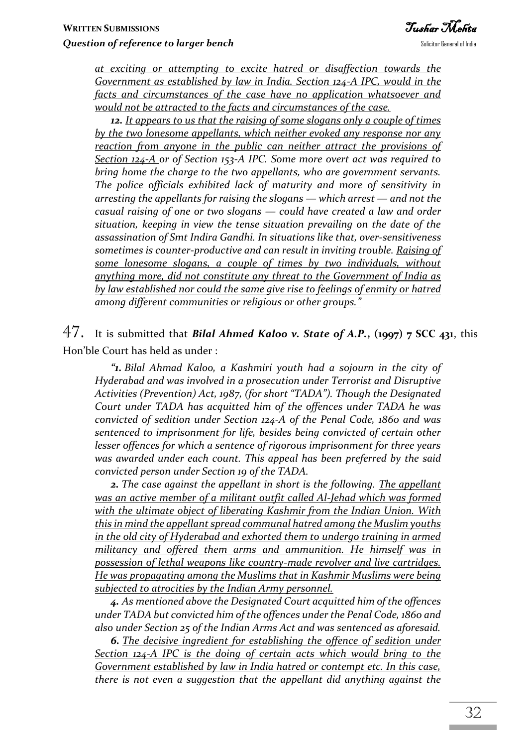*at exciting or attempting to excite hatred or disaffection towards the Government as established by law in India. Section 124-A IPC, would in the facts and circumstances of the case have no application whatsoever and would not be attracted to the facts and circumstances of the case.*

*12. It appears to us that the raising of some slogans only a couple of times by the two lonesome appellants, which neither evoked any response nor any reaction from anyone in the public can neither attract the provisions of Section 124-A or of Section 153-A IPC. Some more overt act was required to bring home the charge to the two appellants, who are government servants. The police officials exhibited lack of maturity and more of sensitivity in arresting the appellants for raising the slogans — which arrest — and not the casual raising of one or two slogans — could have created a law and order situation, keeping in view the tense situation prevailing on the date of the assassination of Smt Indira Gandhi. In situations like that, over-sensitiveness sometimes is counter-productive and can result in inviting trouble. Raising of some lonesome slogans, a couple of times by two individuals, without anything more, did not constitute any threat to the Government of India as by law established nor could the same give rise to feelings of enmity or hatred among different communities or religious or other groups."*

47. It is submitted that *Bilal Ahmed Kaloo v. State of A.P.***, (1997) 7 SCC 431**, this Hon'ble Court has held as under :

*"1. Bilal Ahmad Kaloo, a Kashmiri youth had a sojourn in the city of Hyderabad and was involved in a prosecution under Terrorist and Disruptive Activities (Prevention) Act, 1987, (for short "TADA"). Though the Designated Court under TADA has acquitted him of the offences under TADA he was convicted of sedition under Section 124-A of the Penal Code, 1860 and was sentenced to imprisonment for life, besides being convicted of certain other lesser offences for which a sentence of rigorous imprisonment for three years was awarded under each count. This appeal has been preferred by the said convicted person under Section 19 of the TADA.*

*2. The case against the appellant in short is the following. The appellant was an active member of a militant outfit called Al-Jehad which was formed with the ultimate object of liberating Kashmir from the Indian Union. With this in mind the appellant spread communal hatred among the Muslim youths in the old city of Hyderabad and exhorted them to undergo training in armed militancy and offered them arms and ammunition. He himself was in possession of lethal weapons like country-made revolver and live cartridges. He was propagating among the Muslims that in Kashmir Muslims were being subjected to atrocities by the Indian Army personnel.*

*4. As mentioned above the Designated Court acquitted him of the offences under TADA but convicted him of the offences under the Penal Code, 1860 and also under Section 25 of the Indian Arms Act and was sentenced as aforesaid.*

*6. The decisive ingredient for establishing the offence of sedition under Section 124-A IPC is the doing of certain acts which would bring to the Government established by law in India hatred or contempt etc. In this case, there is not even a suggestion that the appellant did anything against the*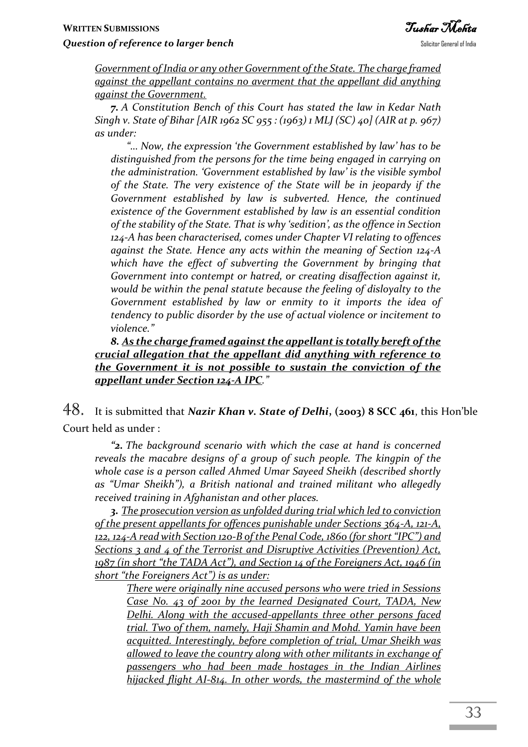*Government of India or any other Government of the State. The charge framed against the appellant contains no averment that the appellant did anything against the Government.*

*7. A Constitution Bench of this Court has stated the law in Kedar Nath Singh v. State of Bihar [AIR 1962 SC 955 : (1963) 1 MLJ (SC) 40] (AIR at p. 967) as under:*

*"… Now, the expression 'the Government established by law' has to be distinguished from the persons for the time being engaged in carrying on the administration. 'Government established by law' is the visible symbol of the State. The very existence of the State will be in jeopardy if the Government established by law is subverted. Hence, the continued existence of the Government established by law is an essential condition of the stability of the State. That is why 'sedition', as the offence in Section 124-A has been characterised, comes under Chapter VI relating to offences against the State. Hence any acts within the meaning of Section 124-A which have the effect of subverting the Government by bringing that Government into contempt or hatred, or creating disaffection against it, would be within the penal statute because the feeling of disloyalty to the Government established by law or enmity to it imports the idea of tendency to public disorder by the use of actual violence or incitement to violence."*

*8. As the charge framed against the appellant is totally bereft of the crucial allegation that the appellant did anything with reference to the Government it is not possible to sustain the conviction of the appellant under Section 124-A IPC."*

48. It is submitted that *Nazir Khan v. State of Delhi***, (2003) 8 SCC 461**, this Hon'ble Court held as under :

*"2. The background scenario with which the case at hand is concerned reveals the macabre designs of a group of such people. The kingpin of the whole case is a person called Ahmed Umar Sayeed Sheikh (described shortly as "Umar Sheikh"), a British national and trained militant who allegedly received training in Afghanistan and other places.*

*3. The prosecution version as unfolded during trial which led to conviction of the present appellants for offences punishable under Sections 364-A, 121-A, 122, 124-A read with Section 120-B of the Penal Code, 1860 (for short "IPC") and Sections 3 and 4 of the Terrorist and Disruptive Activities (Prevention) Act, 1987 (in short "the TADA Act"), and Section 14 of the Foreigners Act, 1946 (in short "the Foreigners Act") is as under:*

*There were originally nine accused persons who were tried in Sessions Case No. 43 of 2001 by the learned Designated Court, TADA, New Delhi. Along with the accused-appellants three other persons faced trial. Two of them, namely, Haji Shamin and Mohd. Yamin have been acquitted. Interestingly, before completion of trial, Umar Sheikh was allowed to leave the country along with other militants in exchange of passengers who had been made hostages in the Indian Airlines hijacked flight AI-814. In other words, the mastermind of the whole*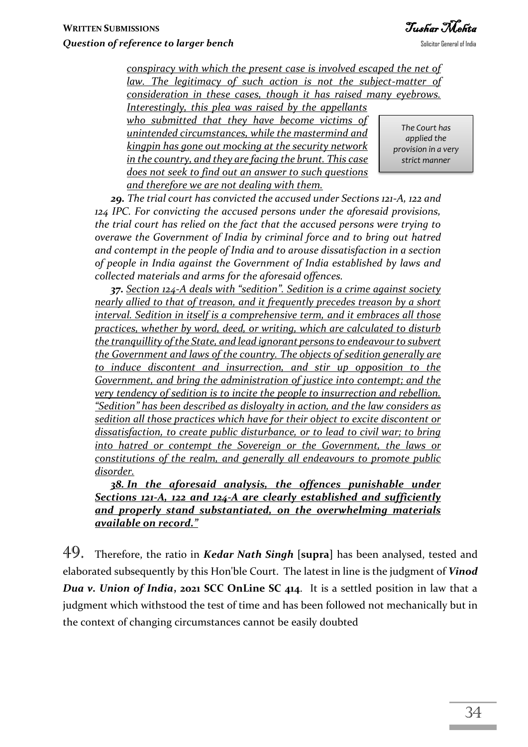*conspiracy with which the present case is involved escaped the net of*  law. The legitimacy of such action is not the subject-matter of *consideration in these cases, though it has raised many eyebrows.* 

*Interestingly, this plea was raised by the appellants who submitted that they have become victims of unintended circumstances, while the mastermind and kingpin has gone out mocking at the security network in the country, and they are facing the brunt. This case does not seek to find out an answer to such questions and therefore we are not dealing with them.*

*The Court has applied the provision in a very strict manner*

*29. The trial court has convicted the accused under Sections 121-A, 122 and 124 IPC. For convicting the accused persons under the aforesaid provisions, the trial court has relied on the fact that the accused persons were trying to overawe the Government of India by criminal force and to bring out hatred and contempt in the people of India and to arouse dissatisfaction in a section of people in India against the Government of India established by laws and collected materials and arms for the aforesaid offences.*

*37. Section 124-A deals with "sedition". Sedition is a crime against society nearly allied to that of treason, and it frequently precedes treason by a short interval. Sedition in itself is a comprehensive term, and it embraces all those practices, whether by word, deed, or writing, which are calculated to disturb the tranquillity of the State, and lead ignorant persons to endeavour to subvert the Government and laws of the country. The objects of sedition generally are to induce discontent and insurrection, and stir up opposition to the Government, and bring the administration of justice into contempt; and the very tendency of sedition is to incite the people to insurrection and rebellion. "Sedition" has been described as disloyalty in action, and the law considers as sedition all those practices which have for their object to excite discontent or dissatisfaction, to create public disturbance, or to lead to civil war; to bring into hatred or contempt the Sovereign or the Government, the laws or constitutions of the realm, and generally all endeavours to promote public disorder.*

*38. In the aforesaid analysis, the offences punishable under Sections 121-A, 122 and 124-A are clearly established and sufficiently and properly stand substantiated, on the overwhelming materials available on record."*

49. Therefore, the ratio in *Kedar Nath Singh* **[supra]** has been analysed, tested and elaborated subsequently by this Hon'ble Court. The latest in line is the judgment of *Vinod Dua v. Union of India*, 2021 SCC OnLine SC 414. It is a settled position in law that a judgment which withstood the test of time and has been followed not mechanically but in the context of changing circumstances cannot be easily doubted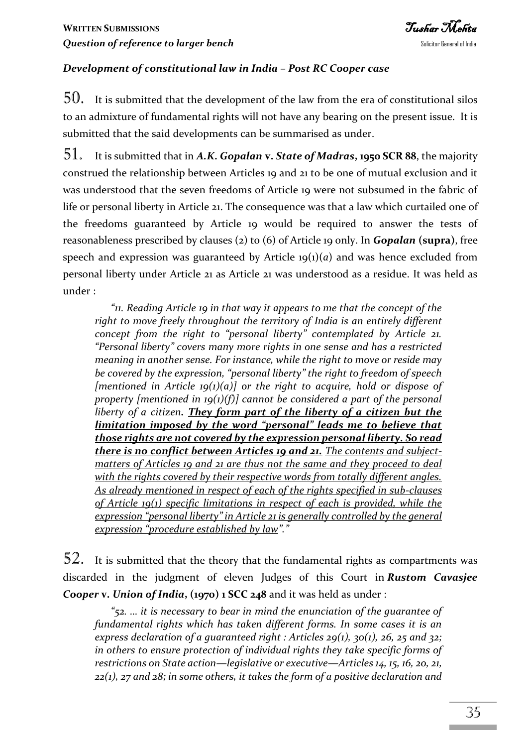### *Development of constitutional law in India – Post RC Cooper case*

50. It is submitted that the development of the law from the era of constitutional silos to an admixture of fundamental rights will not have any bearing on the present issue. It is submitted that the said developments can be summarised as under.

51. It is submitted that in *A.K. Gopalan* **v.** *State of Madras***, 1950 SCR 88**, the majority construed the relationship between Articles 19 and 21 to be one of mutual exclusion and it was understood that the seven freedoms of Article 19 were not subsumed in the fabric of life or personal liberty in Article 21. The consequence was that a law which curtailed one of the freedoms guaranteed by Article 19 would be required to answer the tests of reasonableness prescribed by clauses (2) to (6) of Article 19 only. In *Gopalan* **(supra)**, free speech and expression was guaranteed by Article  $19(1)(a)$  and was hence excluded from personal liberty under Article 21 as Article 21 was understood as a residue. It was held as under :

*"11. Reading Article 19 in that way it appears to me that the concept of the*  right to move freely throughout the territory of India is an entirely different *concept from the right to "personal liberty" contemplated by Article 21. "Personal liberty" covers many more rights in one sense and has a restricted meaning in another sense. For instance, while the right to move or reside may be covered by the expression, "personal liberty" the right to freedom of speech [mentioned in Article 19(1)(a)] or the right to acquire, hold or dispose of property [mentioned in 19(1)(f)] cannot be considered a part of the personal liberty of a citizen. They form part of the liberty of a citizen but the limitation imposed by the word "personal" leads me to believe that those rights are not covered by the expression personal liberty. So read there is no conflict between Articles 19 and 21. The contents and subjectmatters of Articles 19 and 21 are thus not the same and they proceed to deal with the rights covered by their respective words from totally different angles. As already mentioned in respect of each of the rights specified in sub-clauses of Article 19(1) specific limitations in respect of each is provided, while the expression "personal liberty" in Article 21 is generally controlled by the general expression "procedure established by law"."*

 $52.$  It is submitted that the theory that the fundamental rights as compartments was discarded in the judgment of eleven Judges of this Court in *Rustom Cavasjee Cooper* **v.** *Union of India***, (1970) 1 SCC 248** and it was held as under :

*"52. … it is necessary to bear in mind the enunciation of the guarantee of fundamental rights which has taken different forms. In some cases it is an express declaration of a guaranteed right : Articles 29(1), 30(1), 26, 25 and 32; in others to ensure protection of individual rights they take specific forms of restrictions on State action—legislative or executive—Articles 14, 15, 16, 20, 21, 22(1), 27 and 28; in some others, it takes the form of a positive declaration and*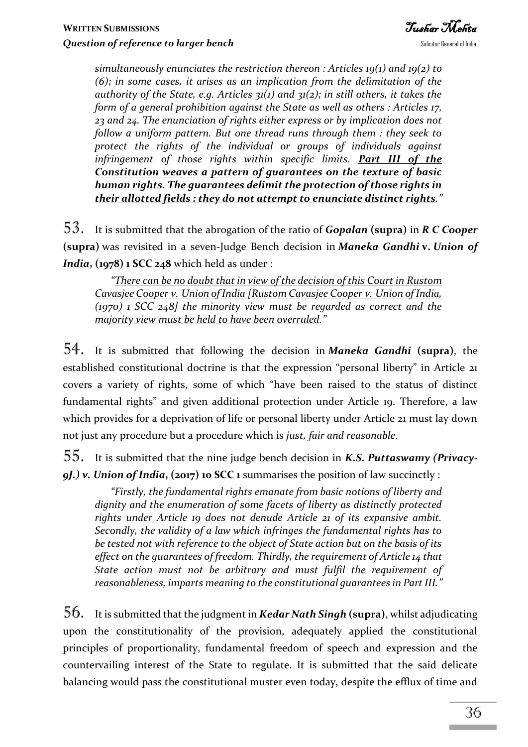*simultaneously enunciates the restriction thereon : Articles 19(1) and 19(2) to (6); in some cases, it arises as an implication from the delimitation of the authority of the State, e.g. Articles 31(1) and 31(2); in still others, it takes the form of a general prohibition against the State as well as others : Articles 17, 23 and 24. The enunciation of rights either express or by implication does not follow a uniform pattern. But one thread runs through them : they seek to protect the rights of the individual or groups of individuals against infringement of those rights within specific limits. Part III of the Constitution weaves a pattern of guarantees on the texture of basic human rights. The guarantees delimit the protection of those rights in their allotted fields : they do not attempt to enunciate distinct rights."*

53. It is submitted that the abrogation of the ratio of *Gopalan* **(supra)** in *R C Cooper*  **(supra)** was revisited in a seven-Judge Bench decision in *Maneka Gandhi* **v.** *Union of India***, (1978) 1 SCC 248** which held as under :

*"There can be no doubt that in view of the decision of this Court in Rustom Cavasjee Cooper v. Union of India [Rustom Cavasjee Cooper v. Union of India, (1970) 1 SCC 248] the minority view must be regarded as correct and the majority view must be held to have been overruled."*

54. It is submitted that following the decision in *Maneka Gandhi* **(supra)**, the established constitutional doctrine is that the expression "personal liberty" in Article 21 covers a variety of rights, some of which "have been raised to the status of distinct fundamental rights" and given additional protection under Article 19. Therefore, a law which provides for a deprivation of life or personal liberty under Article 21 must lay down not just any procedure but a procedure which is *just, fair and reasonable*.

55. It is submitted that the nine judge bench decision in *K.S. Puttaswamy (Privacy-9J.) v. Union of India***, (2017) 10 SCC 1** summarises the position of law succinctly :

*"Firstly, the fundamental rights emanate from basic notions of liberty and dignity and the enumeration of some facets of liberty as distinctly protected rights under Article 19 does not denude Article 21 of its expansive ambit. Secondly, the validity of a law which infringes the fundamental rights has to be tested not with reference to the object of State action but on the basis of its effect on the guarantees of freedom. Thirdly, the requirement of Article 14 that State action must not be arbitrary and must fulfil the requirement of reasonableness, imparts meaning to the constitutional guarantees in Part III."*

56. It is submitted that the judgment in *Kedar Nath Singh* **(supra)**, whilst adjudicating upon the constitutionality of the provision, adequately applied the constitutional principles of proportionality, fundamental freedom of speech and expression and the countervailing interest of the State to regulate. It is submitted that the said delicate balancing would pass the constitutional muster even today, despite the efflux of time and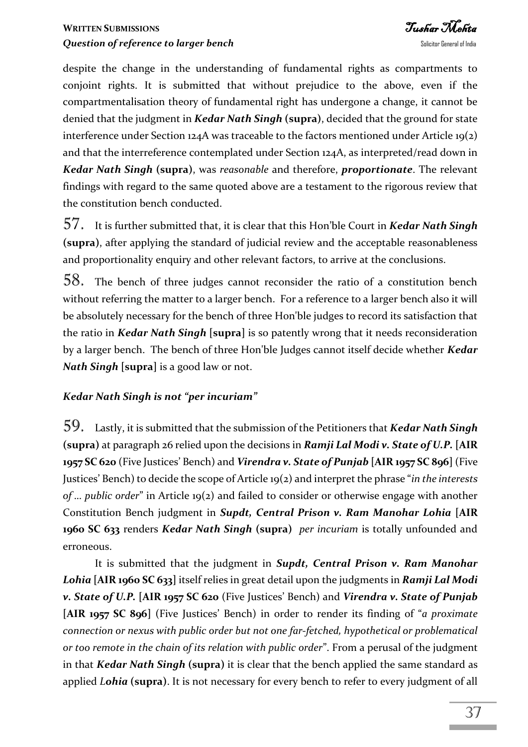despite the change in the understanding of fundamental rights as compartments to conjoint rights. It is submitted that without prejudice to the above, even if the compartmentalisation theory of fundamental right has undergone a change, it cannot be denied that the judgment in *Kedar Nath Singh* **(supra)**, decided that the ground for state interference under Section 124A was traceable to the factors mentioned under Article 19(2) and that the interreference contemplated under Section 124A, as interpreted/read down in *Kedar Nath Singh* **(supra)**, was *reasonable* and therefore, *proportionate*. The relevant findings with regard to the same quoted above are a testament to the rigorous review that the constitution bench conducted.

57. It is further submitted that, it is clear that this Hon'ble Court in *Kedar Nath Singh*  **(supra)**, after applying the standard of judicial review and the acceptable reasonableness and proportionality enquiry and other relevant factors, to arrive at the conclusions.

58. The bench of three judges cannot reconsider the ratio of a constitution bench without referring the matter to a larger bench. For a reference to a larger bench also it will be absolutely necessary for the bench of three Hon'ble judges to record its satisfaction that the ratio in *Kedar Nath Singh* **[supra]** is so patently wrong that it needs reconsideration by a larger bench. The bench of three Hon'ble Judges cannot itself decide whether *Kedar Nath Singh* **[supra]** is a good law or not.

# *Kedar Nath Singh is not "per incuriam"*

59. Lastly, it is submitted that the submission of the Petitioners that *Kedar Nath Singh* **(supra)** at paragraph 26 relied upon the decisions in *Ramji Lal Modi v. State of U.P.* **[AIR 1957 SC 620** (Five Justices' Bench) and *Virendra v. State of Punjab* **[AIR 1957 SC 896]** (Five Justices' Bench) to decide the scope of Article 19(2) and interpret the phrase "*in the interests of … public order*" in Article 19(2) and failed to consider or otherwise engage with another Constitution Bench judgment in *Supdt, Central Prison v. Ram Manohar Lohia* **[AIR 1960 SC 633** renders *Kedar Nath Singh* **(supra)** *per incuriam* is totally unfounded and erroneous.

It is submitted that the judgment in *Supdt, Central Prison v. Ram Manohar Lohia* **[AIR 1960 SC 633]** itself relies in great detail upon the judgments in *Ramji Lal Modi v. State of U.P.* **[AIR 1957 SC 620** (Five Justices' Bench) and *Virendra v. State of Punjab* **[AIR 1957 SC 896]** (Five Justices' Bench) in order to render its finding of "*a proximate connection or nexus with public order but not one far-fetched, hypothetical or problematical or too remote in the chain of its relation with public order*". From a perusal of the judgment in that *Kedar Nath Singh* **(supra)** it is clear that the bench applied the same standard as applied *Lohia* **(supra)**. It is not necessary for every bench to refer to every judgment of all